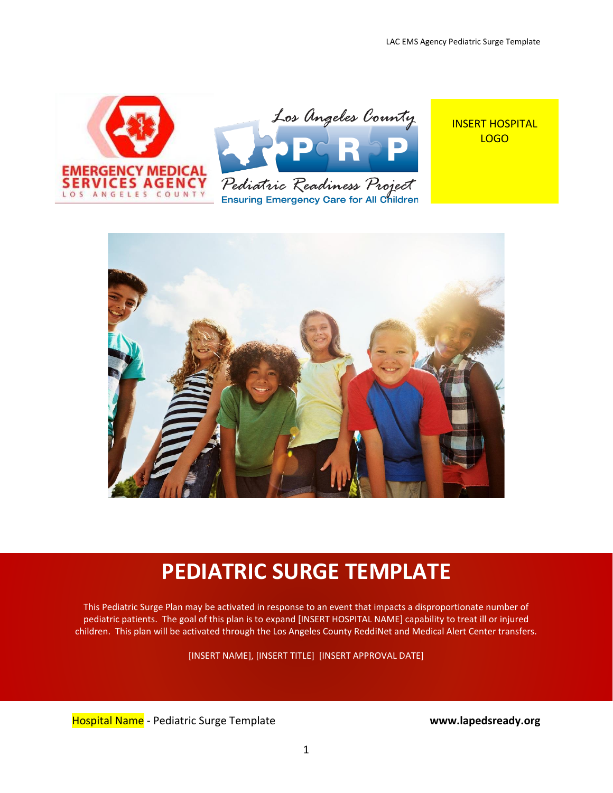



INSERT HOSPITAL LOGO



# **PEDIATRIC SURGE TEMPLATE**

This Pediatric Surge Plan may be activated in response to an event that impacts a disproportionate number of pediatric patients. The goal of this plan is to expand [INSERT HOSPITAL NAME] capability to treat ill or injured children. This plan will be activated through the Los Angeles County ReddiNet and Medical Alert Center transfers.

[INSERT NAME], [INSERT TITLE] [INSERT APPROVAL DATE]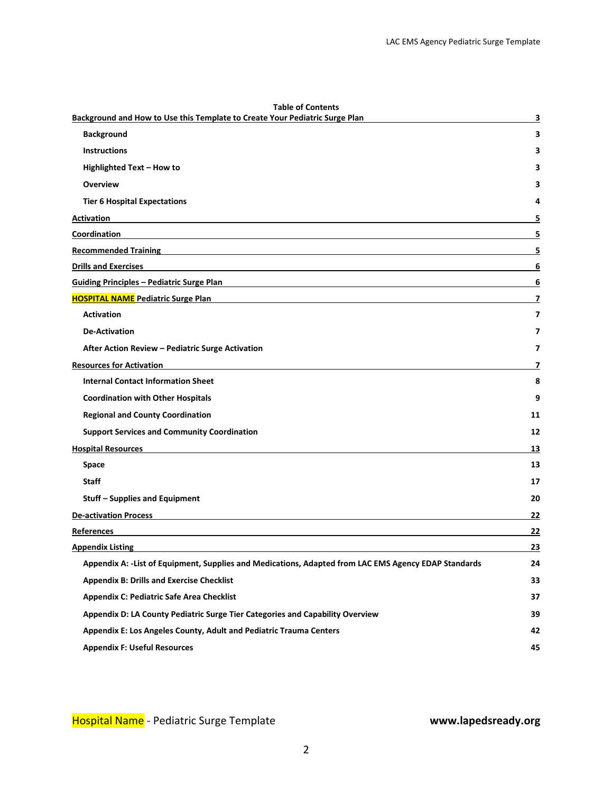| <b>Table of Contents</b><br>Background and How to Use this Template to Create Your Pediatric Surge Plan                                                                                                                              | 3  |
|--------------------------------------------------------------------------------------------------------------------------------------------------------------------------------------------------------------------------------------|----|
| <b>Background</b>                                                                                                                                                                                                                    | 3  |
| <b>Instructions</b>                                                                                                                                                                                                                  | 3  |
| Highlighted Text - How to                                                                                                                                                                                                            | 3  |
| <b>Overview</b>                                                                                                                                                                                                                      | 3  |
| <b>Tier 6 Hospital Expectations</b>                                                                                                                                                                                                  | 4  |
| Activation<br><u> 1989 - Johann Stoff, deutscher Stoffen und der Stoffen und der Stoffen und der Stoffen und der Stoffen und de</u>                                                                                                  | 5  |
| <b>Coordination</b>                                                                                                                                                                                                                  | 5  |
| <b>Recommended Training and Second Contract Contract Contract Contract Contract Contract Contract Contract Contract Contract Contract Contract Contract Contract Contract Contract Contract Contract Contract Contract Contract </b> |    |
| <b>Drills and Exercises</b><br><u> 1989 - Johann Stoff, deutscher Stoffen und der Stoffen und der Stoffen und der Stoffen und der Stoffen und der</u>                                                                                | 6  |
| Guiding Principles - Pediatric Surge Plan Surge Communication of the Communication of the Communication of the                                                                                                                       | 6  |
| <b>HOSPITAL NAME Pediatric Surge Plan</b>                                                                                                                                                                                            | 7  |
| <b>Activation</b>                                                                                                                                                                                                                    | 7  |
| <b>De-Activation</b>                                                                                                                                                                                                                 | 7  |
| After Action Review - Pediatric Surge Activation                                                                                                                                                                                     | 7  |
| <b>Resources for Activation</b>                                                                                                                                                                                                      | 7  |
| <b>Internal Contact Information Sheet</b>                                                                                                                                                                                            | 8  |
| <b>Coordination with Other Hospitals</b>                                                                                                                                                                                             | 9  |
| <b>Regional and County Coordination</b>                                                                                                                                                                                              | 11 |
| <b>Support Services and Community Coordination</b>                                                                                                                                                                                   | 12 |
| <b>Hospital Resources</b>                                                                                                                                                                                                            | 13 |
| Space                                                                                                                                                                                                                                | 13 |
| <b>Staff</b>                                                                                                                                                                                                                         | 17 |
| <b>Stuff-Supplies and Equipment</b>                                                                                                                                                                                                  | 20 |
| De-activation Process <b>Executive Contract Contract Contract Contract Contract Contract Contract Contract Contract Contract Contract Contract Contract Contract Contract Contract Contract Contract Contract Contract Contract </b> | 22 |
| <b>References</b><br>,我们也不会有一个人的人,我们也不会有一个人的人,我们也不会有一个人的人。""我们,我们也不会有一个人的人,我们也不会有一个人的人,我们也不会有一个人的人,我们                                                                                                                                | 22 |
| <b>Appendix Listing</b>                                                                                                                                                                                                              | 23 |
| Appendix A: -List of Equipment, Supplies and Medications, Adapted from LAC EMS Agency EDAP Standards                                                                                                                                 | 24 |
| <b>Appendix B: Drills and Exercise Checklist</b>                                                                                                                                                                                     | 33 |
| <b>Appendix C: Pediatric Safe Area Checklist</b>                                                                                                                                                                                     | 37 |
| Appendix D: LA County Pediatric Surge Tier Categories and Capability Overview                                                                                                                                                        | 39 |
| Appendix E: Los Angeles County, Adult and Pediatric Trauma Centers                                                                                                                                                                   | 42 |
| <b>Appendix F: Useful Resources</b>                                                                                                                                                                                                  | 45 |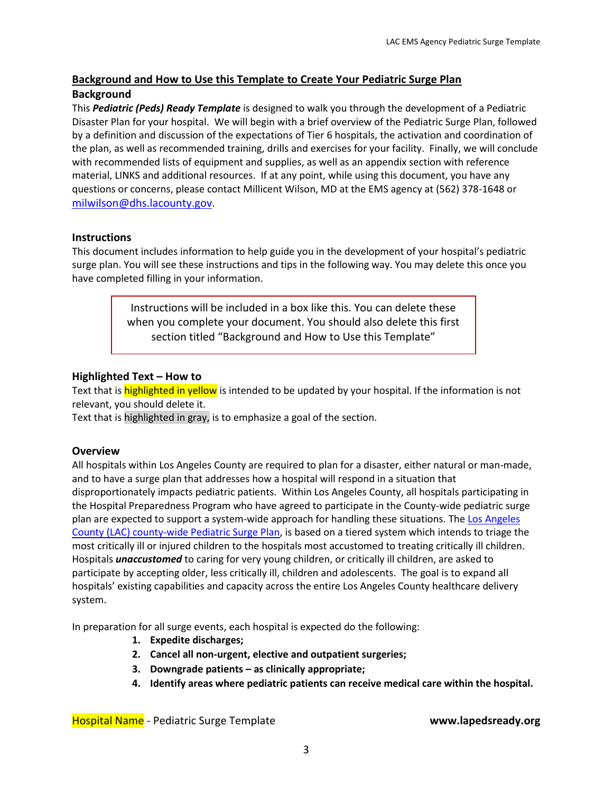## <span id="page-2-0"></span>**Background and How to Use this Template to Create Your Pediatric Surge Plan**

#### <span id="page-2-1"></span>**Background**

This *Pediatric (Peds) Ready Template* is designed to walk you through the development of a Pediatric Disaster Plan for your hospital. We will begin with a brief overview of the Pediatric Surge Plan, followed by a definition and discussion of the expectations of Tier 6 hospitals, the activation and coordination of the plan, as well as recommended training, drills and exercises for your facility. Finally, we will conclude with recommended lists of equipment and supplies, as well as an appendix section with reference material, LINKS and additional resources. If at any point, while using this document, you have any questions or concerns, please contact Millicent Wilson, MD at the EMS agency at (562) 378-1648 or [milwilson@dhs.lacounty.gov](mailto:milwilson@dhs.lacounty.gov).

#### <span id="page-2-2"></span>**Instructions**

This document includes information to help guide you in the development of your hospital's pediatric surge plan. You will see these instructions and tips in the following way. You may delete this once you have completed filling in your information.

> Instructions will be included in a box like this. You can delete these when you complete your document. You should also delete this first section titled "Background and How to Use this Template"

#### <span id="page-2-3"></span>**Highlighted Text – How to**

Text that is highlighted in yellow is intended to be updated by your hospital. If the information is not relevant, you should delete it.

Text that is highlighted in gray, is to emphasize a goal of the section.

#### <span id="page-2-4"></span>**Overview**

All hospitals within Los Angeles County are required to plan for a disaster, either natural or man-made, and to have a surge plan that addresses how a hospital will respond in a situation that disproportionately impacts pediatric patients. Within Los Angeles County, all hospitals participating in the Hospital Preparedness Program who have agreed to participate in the County-wide pediatric surge plan are expected to support a system-wide approach for handling these situations. The [Los Angeles](http://file.lacounty.gov/SDSInter/dhs/206938_cms1_206938.pdf)  [County \(LAC\) county-wide Pediatric Surge Plan,](http://file.lacounty.gov/SDSInter/dhs/206938_cms1_206938.pdf) is based on a tiered system which intends to triage the most critically ill or injured children to the hospitals most accustomed to treating critically ill children. Hospitals *unaccustomed* to caring for very young children, or critically ill children, are asked to participate by accepting older, less critically ill, children and adolescents. The goal is to expand all hospitals' existing capabilities and capacity across the entire Los Angeles County healthcare delivery system.

In preparation for all surge events, each hospital is expected do the following:

- **1. Expedite discharges;**
- **2. Cancel all non-urgent, elective and outpatient surgeries;**
- **3. Downgrade patients – as clinically appropriate;**
- **4. Identify areas where pediatric patients can receive medical care within the hospital.**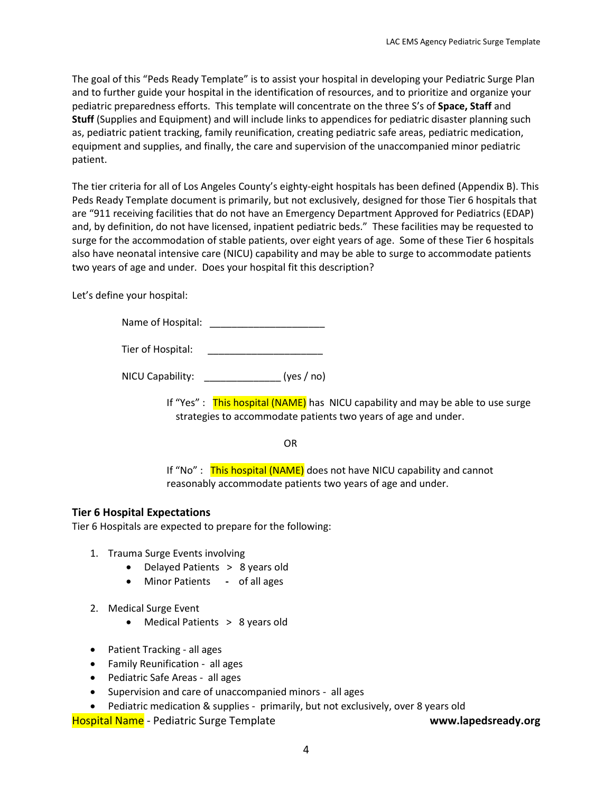The goal of this "Peds Ready Template" is to assist your hospital in developing your Pediatric Surge Plan and to further guide your hospital in the identification of resources, and to prioritize and organize your pediatric preparedness efforts. This template will concentrate on the three S's of **Space, Staff** and **Stuff** (Supplies and Equipment) and will include links to appendices for pediatric disaster planning such as, pediatric patient tracking, family reunification, creating pediatric safe areas, pediatric medication, equipment and supplies, and finally, the care and supervision of the unaccompanied minor pediatric patient.

The tier criteria for all of Los Angeles County's eighty-eight hospitals has been defined (Appendix B). This Peds Ready Template document is primarily, but not exclusively, designed for those Tier 6 hospitals that are "911 receiving facilities that do not have an Emergency Department Approved for Pediatrics (EDAP) and, by definition, do not have licensed, inpatient pediatric beds." These facilities may be requested to surge for the accommodation of stable patients, over eight years of age. Some of these Tier 6 hospitals also have neonatal intensive care (NICU) capability and may be able to surge to accommodate patients two years of age and under. Does your hospital fit this description?

Let's define your hospital:

Name of Hospital: \_\_\_\_\_\_\_\_\_\_\_\_\_\_\_\_\_\_\_\_\_

Tier of Hospital: \_\_\_\_\_\_\_\_\_\_\_\_\_\_\_\_\_\_\_\_\_

NICU Capability:  $(yes / no)$ 

If "Yes" : This hospital (NAME) has NICU capability and may be able to use surge strategies to accommodate patients two years of age and under.

OR

If "No" : This hospital (NAME) does not have NICU capability and cannot reasonably accommodate patients two years of age and under.

#### <span id="page-3-0"></span>**Tier 6 Hospital Expectations**

Tier 6 Hospitals are expected to prepare for the following:

- 1. Trauma Surge Events involving
	- Delayed Patients > 8 years old
	- Minor Patients **-** of all ages
- 2. Medical Surge Event
	- Medical Patients > 8 years old
- Patient Tracking all ages
- Family Reunification all ages
- Pediatric Safe Areas all ages
- Supervision and care of unaccompanied minors all ages
- Pediatric medication & supplies primarily, but not exclusively, over 8 years old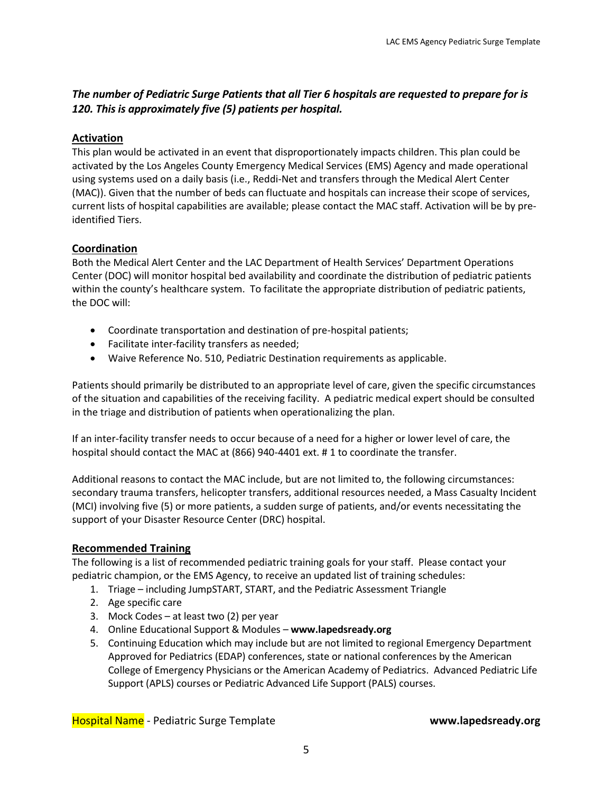## *The number of Pediatric Surge Patients that all Tier 6 hospitals are requested to prepare for is 120. This is approximately five (5) patients per hospital.*

#### <span id="page-4-0"></span>**Activation**

This plan would be activated in an event that disproportionately impacts children. This plan could be activated by the Los Angeles County Emergency Medical Services (EMS) Agency and made operational using systems used on a daily basis (i.e., Reddi-Net and transfers through the Medical Alert Center (MAC)). Given that the number of beds can fluctuate and hospitals can increase their scope of services, current lists of hospital capabilities are available; please contact the MAC staff. Activation will be by preidentified Tiers.

#### <span id="page-4-1"></span>**Coordination**

Both the Medical Alert Center and the LAC Department of Health Services' Department Operations Center (DOC) will monitor hospital bed availability and coordinate the distribution of pediatric patients within the county's healthcare system. To facilitate the appropriate distribution of pediatric patients, the DOC will:

- Coordinate transportation and destination of pre-hospital patients;
- Facilitate inter-facility transfers as needed;
- Waive Reference No. 510, Pediatric Destination requirements as applicable.

Patients should primarily be distributed to an appropriate level of care, given the specific circumstances of the situation and capabilities of the receiving facility. A pediatric medical expert should be consulted in the triage and distribution of patients when operationalizing the plan.

If an inter-facility transfer needs to occur because of a need for a higher or lower level of care, the hospital should contact the MAC at (866) 940-4401 ext. # 1 to coordinate the transfer.

Additional reasons to contact the MAC include, but are not limited to, the following circumstances: secondary trauma transfers, helicopter transfers, additional resources needed, a Mass Casualty Incident (MCI) involving five (5) or more patients, a sudden surge of patients, and/or events necessitating the support of your Disaster Resource Center (DRC) hospital.

#### <span id="page-4-2"></span>**Recommended Training**

The following is a list of recommended pediatric training goals for your staff. Please contact your pediatric champion, or the EMS Agency, to receive an updated list of training schedules:

- 1. Triage including JumpSTART, START, and the Pediatric Assessment Triangle
- 2. Age specific care
- 3. Mock Codes at least two (2) per year
- 4. Online Educational Support & Modules **www.lapedsready.org**
- 5. Continuing Education which may include but are not limited to regional Emergency Department Approved for Pediatrics (EDAP) conferences, state or national conferences by the American College of Emergency Physicians or the American Academy of Pediatrics. Advanced Pediatric Life Support (APLS) courses or Pediatric Advanced Life Support (PALS) courses.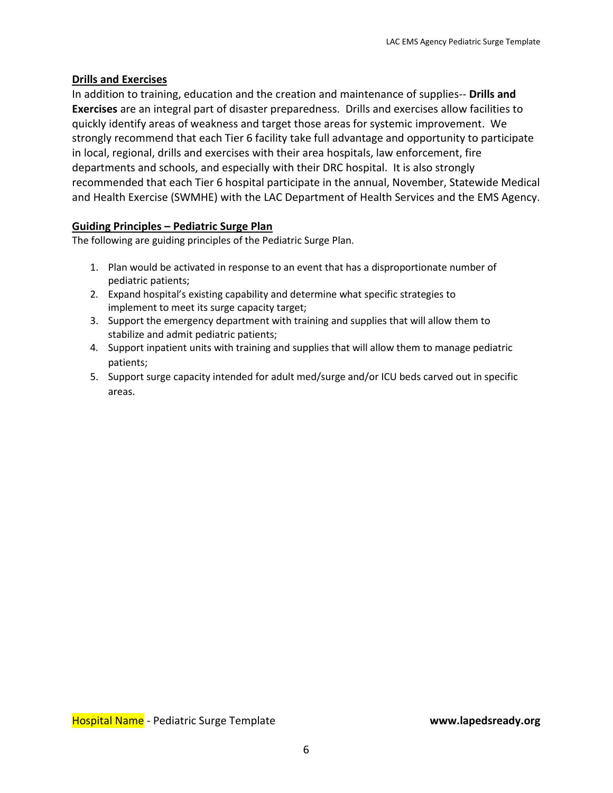#### <span id="page-5-0"></span>**Drills and Exercises**

In addition to training, education and the creation and maintenance of supplies-- **Drills and Exercises** are an integral part of disaster preparedness. Drills and exercises allow facilities to quickly identify areas of weakness and target those areas for systemic improvement. We strongly recommend that each Tier 6 facility take full advantage and opportunity to participate in local, regional, drills and exercises with their area hospitals, law enforcement, fire departments and schools, and especially with their DRC hospital. It is also strongly recommended that each Tier 6 hospital participate in the annual, November, Statewide Medical and Health Exercise (SWMHE) with the LAC Department of Health Services and the EMS Agency.

#### <span id="page-5-1"></span>**Guiding Principles – Pediatric Surge Plan**

The following are guiding principles of the Pediatric Surge Plan.

- 1. Plan would be activated in response to an event that has a disproportionate number of pediatric patients;
- 2. Expand hospital's existing capability and determine what specific strategies to implement to meet its surge capacity target;
- 3. Support the emergency department with training and supplies that will allow them to stabilize and admit pediatric patients;
- 4. Support inpatient units with training and supplies that will allow them to manage pediatric patients;
- 5. Support surge capacity intended for adult med/surge and/or ICU beds carved out in specific areas.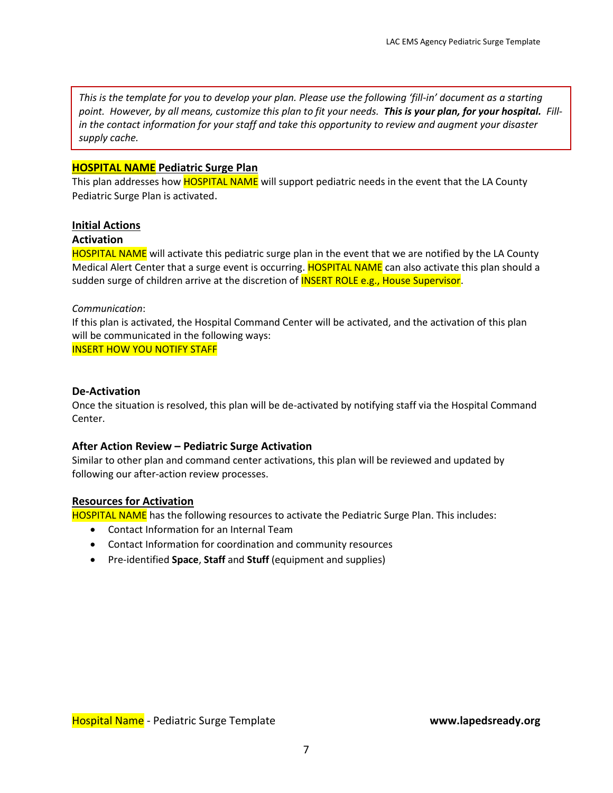*This is the template for you to develop your plan. Please use the following 'fill-in' document as a starting*  point. However, by all means, customize this plan to fit your needs. This is your plan, for your hospital. Fill*in the contact information for your staff and take this opportunity to review and augment your disaster supply cache.*

#### <span id="page-6-0"></span>**HOSPITAL NAME Pediatric Surge Plan**

This plan addresses how **HOSPITAL NAME** will support pediatric needs in the event that the LA County Pediatric Surge Plan is activated.

#### **Initial Actions**

#### <span id="page-6-1"></span>**Activation**

HOSPITAL NAME will activate this pediatric surge plan in the event that we are notified by the LA County Medical Alert Center that a surge event is occurring. HOSPITAL NAME can also activate this plan should a sudden surge of children arrive at the discretion of **INSERT ROLE e.g., House Supervisor**.

#### *Communication*:

If this plan is activated, the Hospital Command Center will be activated, and the activation of this plan will be communicated in the following ways: INSERT HOW YOU NOTIFY STAFF

<span id="page-6-2"></span>**De-Activation**

Once the situation is resolved, this plan will be de-activated by notifying staff via the Hospital Command Center.

#### <span id="page-6-3"></span>**After Action Review – Pediatric Surge Activation**

Similar to other plan and command center activations, this plan will be reviewed and updated by following our after-action review processes.

#### <span id="page-6-4"></span>**Resources for Activation**

HOSPITAL NAME has the following resources to activate the Pediatric Surge Plan. This includes:

- Contact Information for an Internal Team
- Contact Information for coordination and community resources
- Pre-identified **Space**, **Staff** and **Stuff** (equipment and supplies)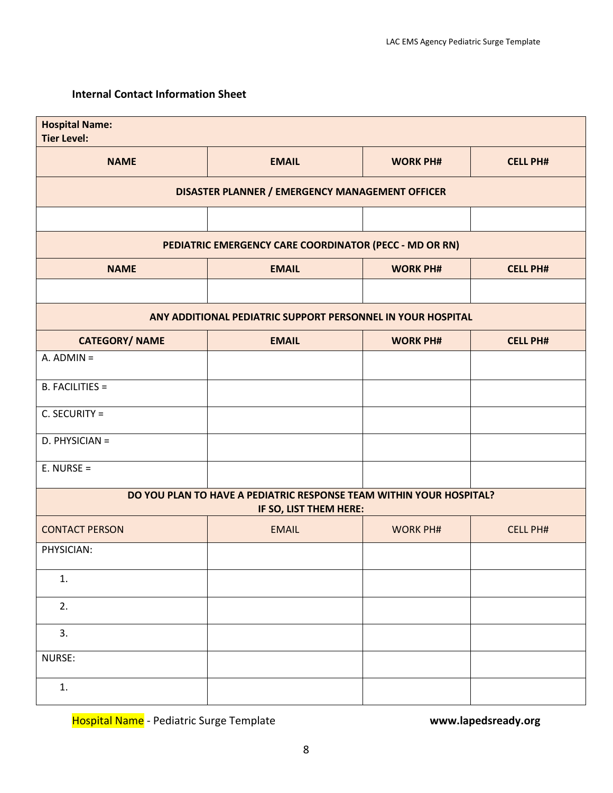## <span id="page-7-0"></span>**Internal Contact Information Sheet**

| <b>Hospital Name:</b><br><b>Tier Level:</b> |                                                                                               |                 |                 |
|---------------------------------------------|-----------------------------------------------------------------------------------------------|-----------------|-----------------|
| <b>NAME</b>                                 | <b>EMAIL</b>                                                                                  | <b>WORK PH#</b> | <b>CELL PH#</b> |
|                                             | DISASTER PLANNER / EMERGENCY MANAGEMENT OFFICER                                               |                 |                 |
|                                             |                                                                                               |                 |                 |
|                                             | PEDIATRIC EMERGENCY CARE COORDINATOR (PECC - MD OR RN)                                        |                 |                 |
| <b>NAME</b>                                 | <b>EMAIL</b>                                                                                  | <b>WORK PH#</b> | <b>CELL PH#</b> |
|                                             |                                                                                               |                 |                 |
|                                             | ANY ADDITIONAL PEDIATRIC SUPPORT PERSONNEL IN YOUR HOSPITAL                                   |                 |                 |
| <b>CATEGORY/ NAME</b>                       | <b>EMAIL</b>                                                                                  | <b>WORK PH#</b> | <b>CELL PH#</b> |
| $A.$ ADMIN =                                |                                                                                               |                 |                 |
| <b>B. FACILITIES =</b>                      |                                                                                               |                 |                 |
| $C.$ SECURITY =                             |                                                                                               |                 |                 |
| D. PHYSICIAN =                              |                                                                                               |                 |                 |
| $E. NURSE =$                                |                                                                                               |                 |                 |
|                                             | DO YOU PLAN TO HAVE A PEDIATRIC RESPONSE TEAM WITHIN YOUR HOSPITAL?<br>IF SO, LIST THEM HERE: |                 |                 |
| <b>CONTACT PERSON</b>                       | <b>EMAIL</b>                                                                                  | <b>WORK PH#</b> | <b>CELL PH#</b> |
| PHYSICIAN:                                  |                                                                                               |                 |                 |
| 1.                                          |                                                                                               |                 |                 |
| 2.                                          |                                                                                               |                 |                 |
| 3.                                          |                                                                                               |                 |                 |
| NURSE:                                      |                                                                                               |                 |                 |
| 1.                                          |                                                                                               |                 |                 |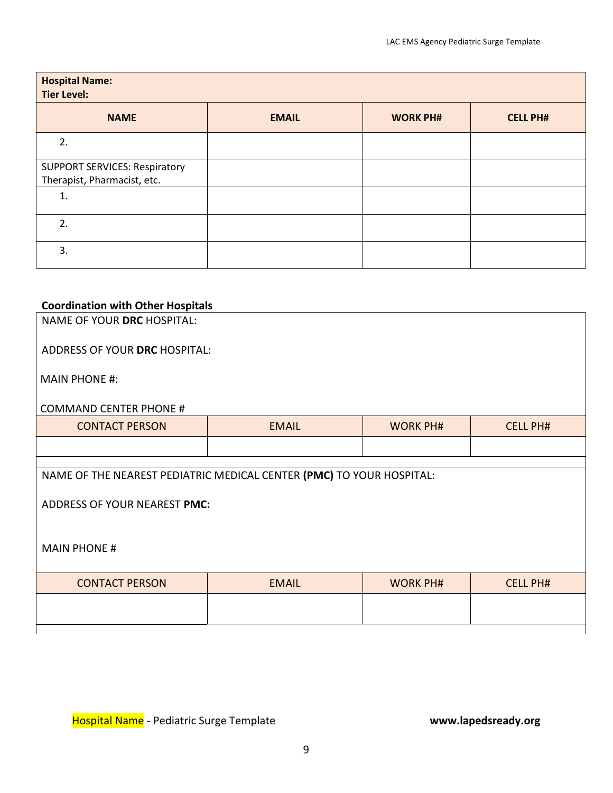| <b>Hospital Name:</b><br><b>Tier Level:</b> |              |                 |                 |
|---------------------------------------------|--------------|-----------------|-----------------|
| <b>NAME</b>                                 | <b>EMAIL</b> | <b>WORK PH#</b> | <b>CELL PH#</b> |
| 2.                                          |              |                 |                 |
| <b>SUPPORT SERVICES: Respiratory</b>        |              |                 |                 |
| Therapist, Pharmacist, etc.                 |              |                 |                 |
| 1.                                          |              |                 |                 |
| 2.                                          |              |                 |                 |
| 3.                                          |              |                 |                 |

#### <span id="page-8-0"></span>**Coordination with Other Hospitals**

| NAME OF YOUR DRC HOSPITAL:                                           |              |                 |                 |
|----------------------------------------------------------------------|--------------|-----------------|-----------------|
| ADDRESS OF YOUR DRC HOSPITAL:                                        |              |                 |                 |
| <b>MAIN PHONE #:</b>                                                 |              |                 |                 |
| <b>COMMAND CENTER PHONE #</b>                                        |              |                 |                 |
| <b>CONTACT PERSON</b>                                                | <b>EMAIL</b> | <b>WORK PH#</b> | <b>CELL PH#</b> |
|                                                                      |              |                 |                 |
|                                                                      |              |                 |                 |
| NAME OF THE NEAREST PEDIATRIC MEDICAL CENTER (PMC) TO YOUR HOSPITAL: |              |                 |                 |
| ADDRESS OF YOUR NEAREST PMC:                                         |              |                 |                 |
|                                                                      |              |                 |                 |
| <b>MAIN PHONE #</b>                                                  |              |                 |                 |
|                                                                      |              |                 |                 |
| <b>CONTACT PERSON</b>                                                | <b>EMAIL</b> | <b>WORK PH#</b> | <b>CELL PH#</b> |
|                                                                      |              |                 |                 |
|                                                                      |              |                 |                 |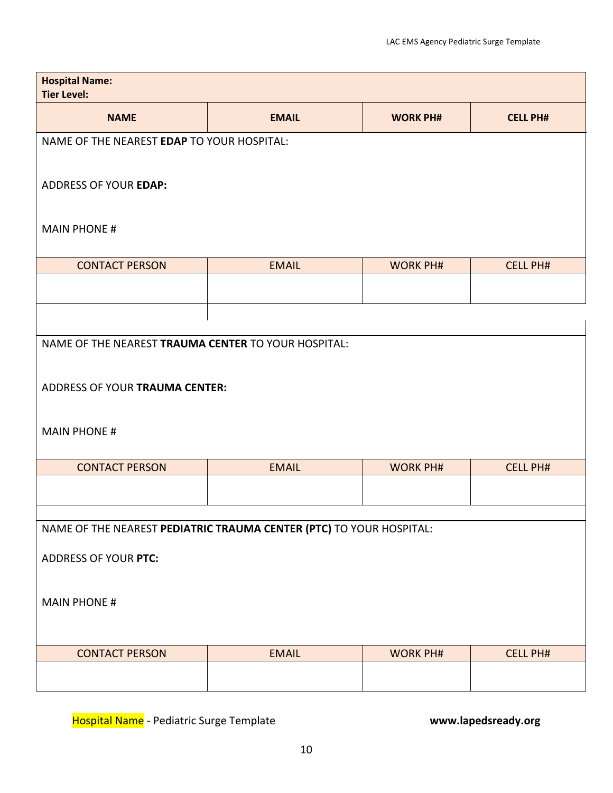| <b>Hospital Name:</b><br><b>Tier Level:</b>                         |              |                 |                 |
|---------------------------------------------------------------------|--------------|-----------------|-----------------|
| <b>NAME</b>                                                         | <b>EMAIL</b> | <b>WORK PH#</b> | <b>CELL PH#</b> |
| NAME OF THE NEAREST EDAP TO YOUR HOSPITAL:                          |              |                 |                 |
| <b>ADDRESS OF YOUR EDAP:</b>                                        |              |                 |                 |
| <b>MAIN PHONE #</b>                                                 |              |                 |                 |
| <b>CONTACT PERSON</b>                                               | <b>EMAIL</b> | <b>WORK PH#</b> | <b>CELL PH#</b> |
|                                                                     |              |                 |                 |
|                                                                     |              |                 |                 |
| NAME OF THE NEAREST TRAUMA CENTER TO YOUR HOSPITAL:                 |              |                 |                 |
|                                                                     |              |                 |                 |
| ADDRESS OF YOUR TRAUMA CENTER:                                      |              |                 |                 |
| <b>MAIN PHONE #</b>                                                 |              |                 |                 |
| <b>CONTACT PERSON</b>                                               | <b>EMAIL</b> | <b>WORK PH#</b> | <b>CELL PH#</b> |
|                                                                     |              |                 |                 |
|                                                                     |              |                 |                 |
| NAME OF THE NEAREST PEDIATRIC TRAUMA CENTER (PTC) TO YOUR HOSPITAL: |              |                 |                 |
| ADDRESS OF YOUR PTC:                                                |              |                 |                 |
| <b>MAIN PHONE #</b>                                                 |              |                 |                 |
| <b>CONTACT PERSON</b>                                               | <b>EMAIL</b> | <b>WORK PH#</b> | <b>CELL PH#</b> |
|                                                                     |              |                 |                 |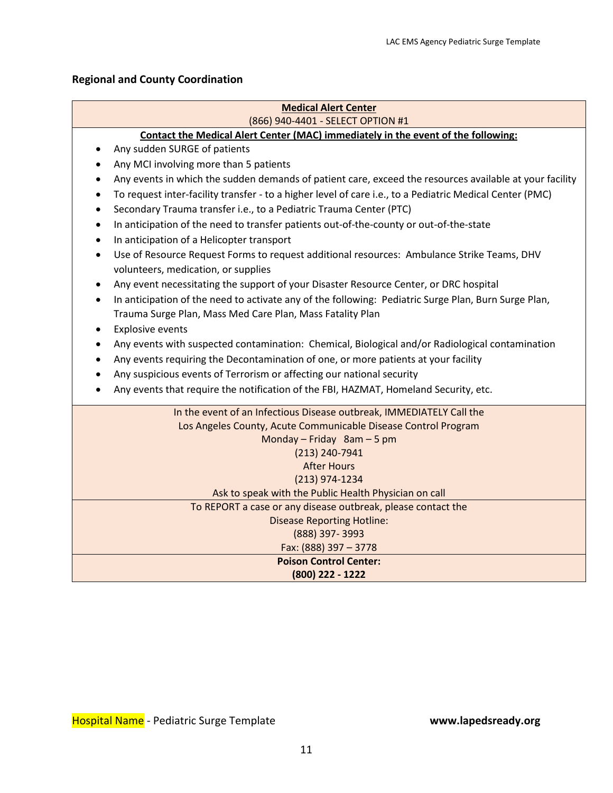#### <span id="page-10-0"></span>**Regional and County Coordination**

#### **Medical Alert Center** (866) 940-4401 - SELECT OPTION #1

#### **Contact the Medical Alert Center (MAC) immediately in the event of the following:**

- Any sudden SURGE of patients
- Any MCI involving more than 5 patients
- Any events in which the sudden demands of patient care, exceed the resources available at your facility
- To request inter-facility transfer to a higher level of care i.e., to a Pediatric Medical Center (PMC)
- Secondary Trauma transfer i.e., to a Pediatric Trauma Center (PTC)
- In anticipation of the need to transfer patients out-of-the-county or out-of-the-state
- In anticipation of a Helicopter transport
- Use of Resource Request Forms to request additional resources: Ambulance Strike Teams, DHV volunteers, medication, or supplies
- Any event necessitating the support of your Disaster Resource Center, or DRC hospital
- In anticipation of the need to activate any of the following: Pediatric Surge Plan, Burn Surge Plan, Trauma Surge Plan, Mass Med Care Plan, Mass Fatality Plan
- Explosive events
- Any events with suspected contamination: Chemical, Biological and/or Radiological contamination
- Any events requiring the Decontamination of one, or more patients at your facility
- Any suspicious events of Terrorism or affecting our national security
- Any events that require the notification of the FBI, HAZMAT, Homeland Security, etc.

| In the event of an Infectious Disease outbreak, IMMEDIATELY Call the |  |
|----------------------------------------------------------------------|--|
| Los Angeles County, Acute Communicable Disease Control Program       |  |
| Monday - Friday $8am - 5pm$                                          |  |
| (213) 240-7941                                                       |  |
| <b>After Hours</b>                                                   |  |
| $(213)$ 974-1234                                                     |  |
| Ask to speak with the Public Health Physician on call                |  |
| To REPORT a case or any disease outbreak, please contact the         |  |
| <b>Disease Reporting Hotline:</b>                                    |  |
| (888) 397-3993                                                       |  |
| Fax: (888) 397 - 3778                                                |  |
| <b>Poison Control Center:</b>                                        |  |
| (800) 222 - 1222                                                     |  |
|                                                                      |  |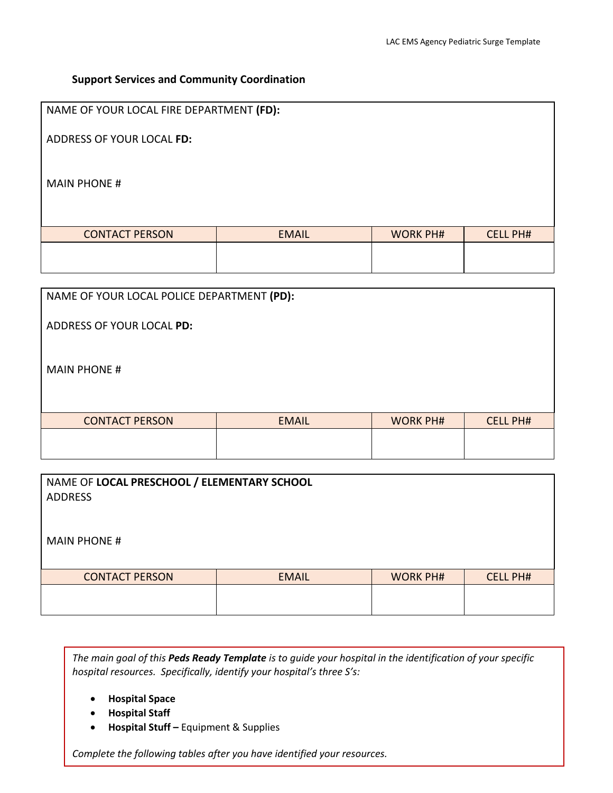#### <span id="page-11-0"></span>**Support Services and Community Coordination**

| NAME OF YOUR LOCAL FIRE DEPARTMENT (FD): |              |                 |                 |
|------------------------------------------|--------------|-----------------|-----------------|
| ADDRESS OF YOUR LOCAL FD:                |              |                 |                 |
| <b>MAIN PHONE #</b>                      |              |                 |                 |
| <b>CONTACT PERSON</b>                    | <b>EMAIL</b> | <b>WORK PH#</b> | <b>CELL PH#</b> |
|                                          |              |                 |                 |

| NAME OF YOUR LOCAL POLICE DEPARTMENT (PD): |              |                 |                 |
|--------------------------------------------|--------------|-----------------|-----------------|
| ADDRESS OF YOUR LOCAL PD:                  |              |                 |                 |
| <b>MAIN PHONE #</b>                        |              |                 |                 |
| <b>CONTACT PERSON</b>                      | <b>EMAIL</b> | <b>WORK PH#</b> | <b>CELL PH#</b> |
|                                            |              |                 |                 |

| NAME OF LOCAL PRESCHOOL / ELEMENTARY SCHOOL<br><b>ADDRESS</b> |              |                 |                 |
|---------------------------------------------------------------|--------------|-----------------|-----------------|
| <b>MAIN PHONE #</b>                                           |              |                 |                 |
| <b>CONTACT PERSON</b>                                         | <b>EMAIL</b> | <b>WORK PH#</b> | <b>CELL PH#</b> |
|                                                               |              |                 |                 |

*The main goal of this Peds Ready Template is to guide your hospital in the identification of your specific hospital resources. Specifically, identify your hospital's three S's:*

- **Hospital Space**
- **Hospital Staff**
- Hospital Name Pediatric Surge Template **www.lapedsready.org Hospital Stuff –** Equipment & Supplies

Complete the following tables after you have identified your resources.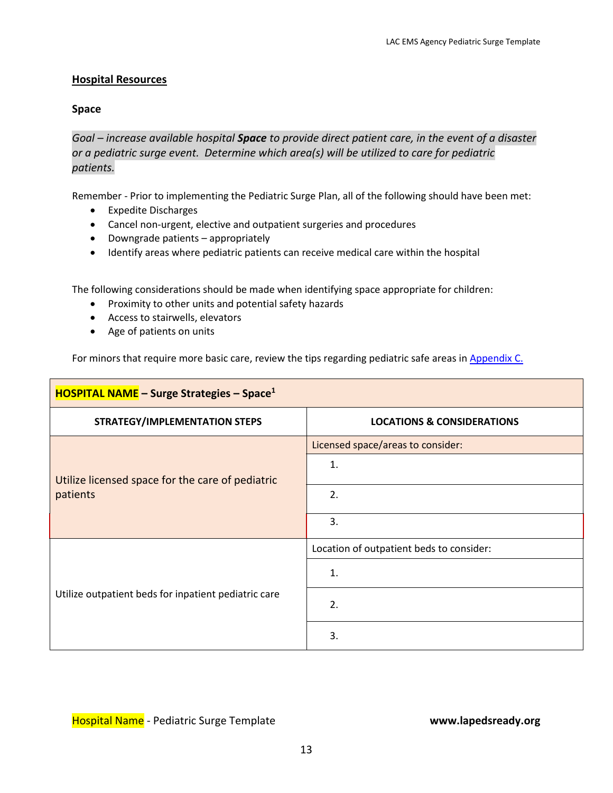#### <span id="page-12-0"></span>**Hospital Resources**

#### <span id="page-12-1"></span>**Space**

*Goal – increase available hospital Space to provide direct patient care, in the event of a disaster or a pediatric surge event. Determine which area(s) will be utilized to care for pediatric patients.*

Remember - Prior to implementing the Pediatric Surge Plan, all of the following should have been met:

- Expedite Discharges
- Cancel non-urgent, elective and outpatient surgeries and procedures
- Downgrade patients appropriately
- Identify areas where pediatric patients can receive medical care within the hospital

The following considerations should be made when identifying space appropriate for children:

- Proximity to other units and potential safety hazards
- Access to stairwells, elevators
- Age of patients on units

For minors that require more basic care, review the tips regarding pediatric safe areas in [Appendix C.](#page-37-0)

| <b>HOSPITAL NAME</b> - Surge Strategies - Space <sup>1</sup> |                                          |  |
|--------------------------------------------------------------|------------------------------------------|--|
| <b>STRATEGY/IMPLEMENTATION STEPS</b>                         | <b>LOCATIONS &amp; CONSIDERATIONS</b>    |  |
| Utilize licensed space for the care of pediatric<br>patients | Licensed space/areas to consider:        |  |
|                                                              | 1.                                       |  |
|                                                              | 2.                                       |  |
|                                                              | 3.                                       |  |
| Utilize outpatient beds for inpatient pediatric care         | Location of outpatient beds to consider: |  |
|                                                              | 1.                                       |  |
|                                                              | 2.                                       |  |
|                                                              | 3.                                       |  |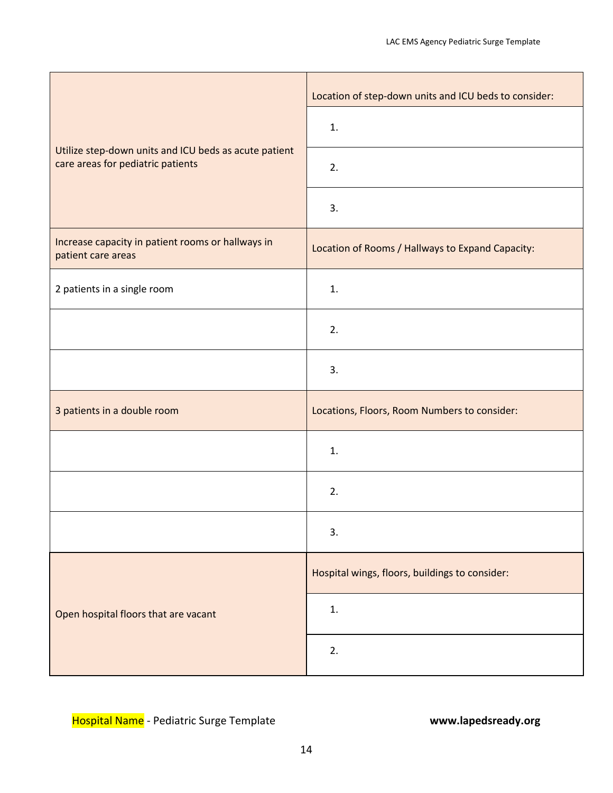|                                                                                            | Location of step-down units and ICU beds to consider: |
|--------------------------------------------------------------------------------------------|-------------------------------------------------------|
|                                                                                            | 1.                                                    |
| Utilize step-down units and ICU beds as acute patient<br>care areas for pediatric patients | 2.                                                    |
|                                                                                            | 3.                                                    |
| Increase capacity in patient rooms or hallways in<br>patient care areas                    | Location of Rooms / Hallways to Expand Capacity:      |
| 2 patients in a single room                                                                | 1.                                                    |
|                                                                                            | 2.                                                    |
|                                                                                            | 3.                                                    |
| 3 patients in a double room                                                                | Locations, Floors, Room Numbers to consider:          |
|                                                                                            | 1.                                                    |
|                                                                                            | 2.                                                    |
|                                                                                            | 3.                                                    |
|                                                                                            | Hospital wings, floors, buildings to consider:        |
| Open hospital floors that are vacant                                                       | 1.                                                    |
|                                                                                            | 2.                                                    |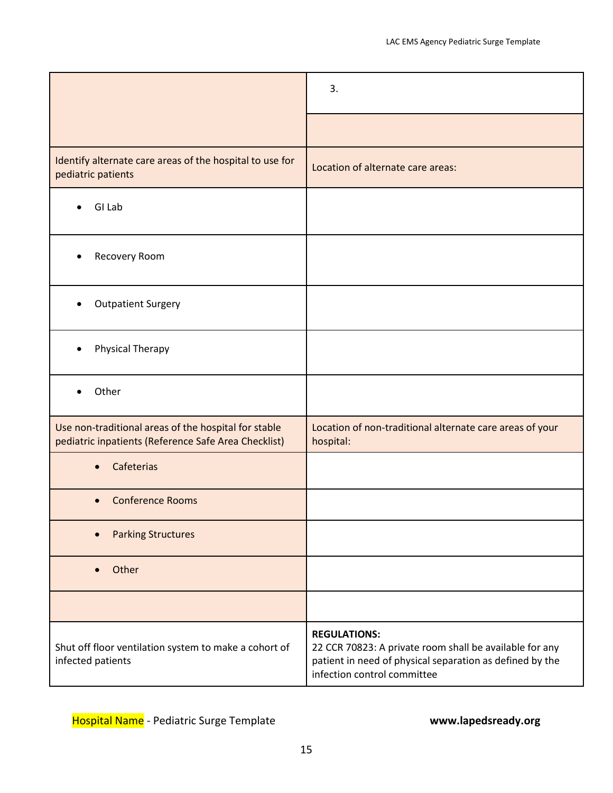|                                                                                                              | 3.                                                                                                                                                                        |
|--------------------------------------------------------------------------------------------------------------|---------------------------------------------------------------------------------------------------------------------------------------------------------------------------|
|                                                                                                              |                                                                                                                                                                           |
| Identify alternate care areas of the hospital to use for<br>pediatric patients                               | Location of alternate care areas:                                                                                                                                         |
| GI Lab<br>$\bullet$                                                                                          |                                                                                                                                                                           |
| Recovery Room                                                                                                |                                                                                                                                                                           |
| <b>Outpatient Surgery</b>                                                                                    |                                                                                                                                                                           |
| Physical Therapy                                                                                             |                                                                                                                                                                           |
| Other                                                                                                        |                                                                                                                                                                           |
| Use non-traditional areas of the hospital for stable<br>pediatric inpatients (Reference Safe Area Checklist) | Location of non-traditional alternate care areas of your<br>hospital:                                                                                                     |
| Cafeterias                                                                                                   |                                                                                                                                                                           |
| <b>Conference Rooms</b>                                                                                      |                                                                                                                                                                           |
| <b>Parking Structures</b>                                                                                    |                                                                                                                                                                           |
| Other                                                                                                        |                                                                                                                                                                           |
|                                                                                                              |                                                                                                                                                                           |
| Shut off floor ventilation system to make a cohort of<br>infected patients                                   | <b>REGULATIONS:</b><br>22 CCR 70823: A private room shall be available for any<br>patient in need of physical separation as defined by the<br>infection control committee |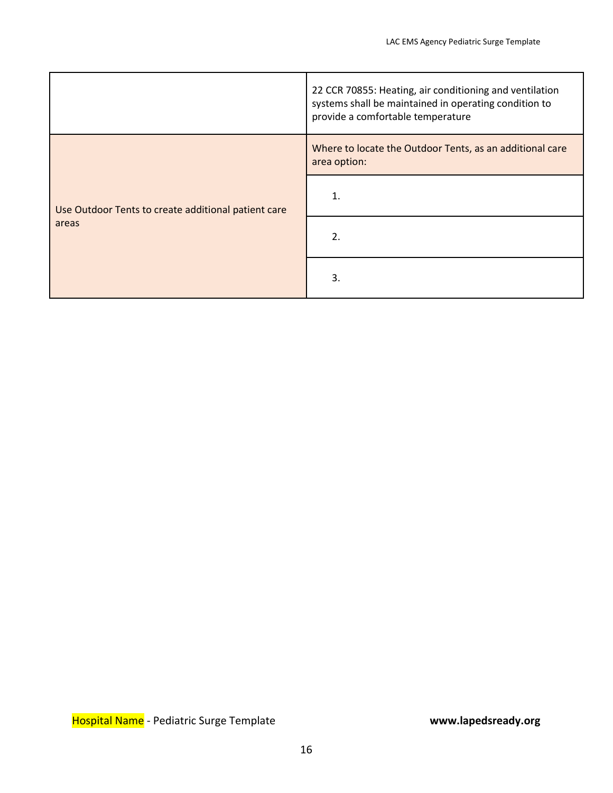|                                                              | 22 CCR 70855: Heating, air conditioning and ventilation<br>systems shall be maintained in operating condition to<br>provide a comfortable temperature |  |  |  |
|--------------------------------------------------------------|-------------------------------------------------------------------------------------------------------------------------------------------------------|--|--|--|
|                                                              | Where to locate the Outdoor Tents, as an additional care<br>area option:                                                                              |  |  |  |
| Use Outdoor Tents to create additional patient care<br>areas | 1.                                                                                                                                                    |  |  |  |
|                                                              | 2.                                                                                                                                                    |  |  |  |
|                                                              | 3.                                                                                                                                                    |  |  |  |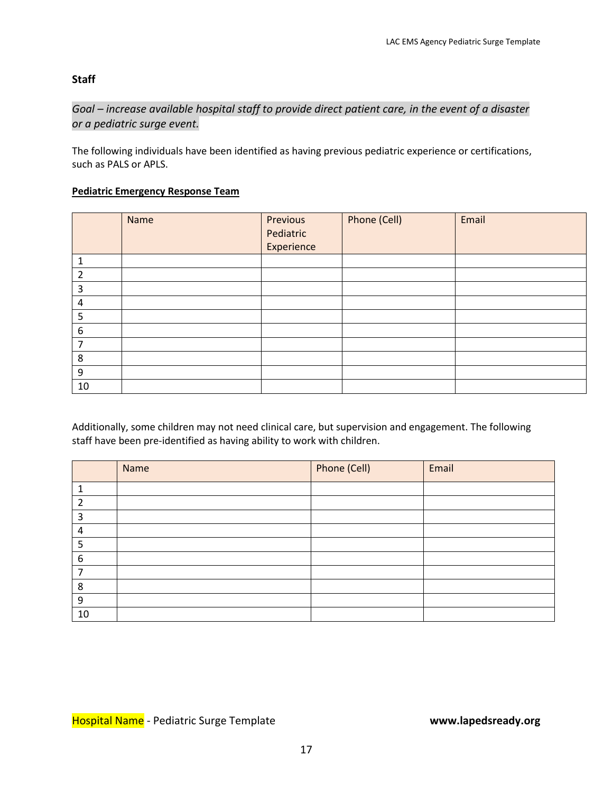#### <span id="page-16-0"></span>**Staff**

## *Goal – increase available hospital staff to provide direct patient care, in the event of a disaster or a pediatric surge event.*

The following individuals have been identified as having previous pediatric experience or certifications, such as PALS or APLS.

#### **Pediatric Emergency Response Team**

|                | Name | Previous<br>Pediatric<br>Experience | Phone (Cell) | Email |
|----------------|------|-------------------------------------|--------------|-------|
| 1              |      |                                     |              |       |
| $\mathfrak{p}$ |      |                                     |              |       |
| 3              |      |                                     |              |       |
| $\overline{a}$ |      |                                     |              |       |
| 5              |      |                                     |              |       |
| 6              |      |                                     |              |       |
| 7              |      |                                     |              |       |
| 8              |      |                                     |              |       |
| 9              |      |                                     |              |       |
| 10             |      |                                     |              |       |

Additionally, some children may not need clinical care, but supervision and engagement. The following staff have been pre-identified as having ability to work with children.

|    | Name | Phone (Cell) | Email |
|----|------|--------------|-------|
|    |      |              |       |
| ำ  |      |              |       |
| 3  |      |              |       |
| 4  |      |              |       |
| 5  |      |              |       |
| 6  |      |              |       |
|    |      |              |       |
| 8  |      |              |       |
| 9  |      |              |       |
| 10 |      |              |       |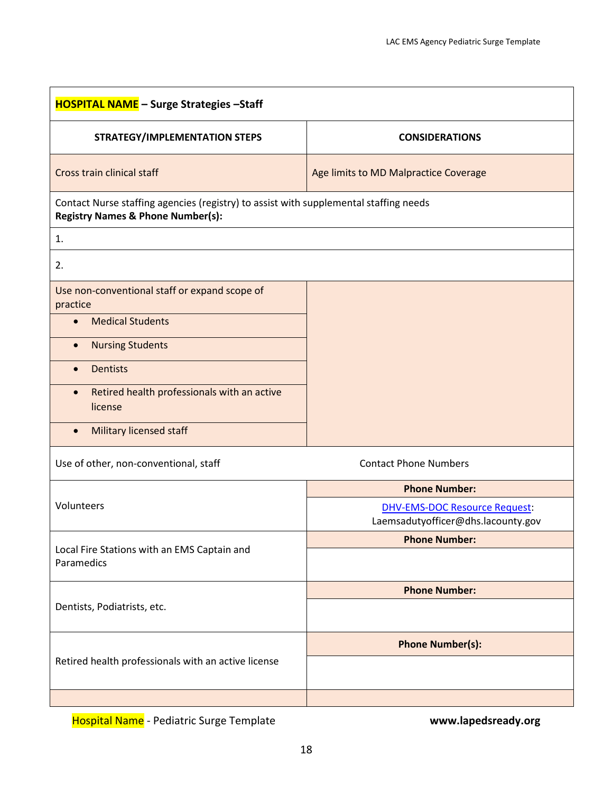| <b>HOSPITAL NAME</b> - Surge Strategies - Staff                                                                                       |                                                                            |
|---------------------------------------------------------------------------------------------------------------------------------------|----------------------------------------------------------------------------|
| <b>STRATEGY/IMPLEMENTATION STEPS</b>                                                                                                  | <b>CONSIDERATIONS</b>                                                      |
| Cross train clinical staff                                                                                                            | Age limits to MD Malpractice Coverage                                      |
| Contact Nurse staffing agencies (registry) to assist with supplemental staffing needs<br><b>Registry Names &amp; Phone Number(s):</b> |                                                                            |
| 1.                                                                                                                                    |                                                                            |
| 2.                                                                                                                                    |                                                                            |
| Use non-conventional staff or expand scope of<br>practice                                                                             |                                                                            |
| <b>Medical Students</b><br>$\bullet$                                                                                                  |                                                                            |
| <b>Nursing Students</b><br>$\bullet$                                                                                                  |                                                                            |
| <b>Dentists</b><br>$\bullet$                                                                                                          |                                                                            |
| Retired health professionals with an active<br>$\bullet$<br>license                                                                   |                                                                            |
| <b>Military licensed staff</b><br>$\bullet$                                                                                           |                                                                            |
| Use of other, non-conventional, staff                                                                                                 | <b>Contact Phone Numbers</b>                                               |
|                                                                                                                                       | <b>Phone Number:</b>                                                       |
| Volunteers                                                                                                                            | <b>DHV-EMS-DOC Resource Request:</b><br>Laemsadutyofficer@dhs.lacounty.gov |
| Local Fire Stations with an EMS Captain and                                                                                           | <b>Phone Number:</b>                                                       |
| Paramedics                                                                                                                            |                                                                            |
|                                                                                                                                       | <b>Phone Number:</b>                                                       |
| Dentists, Podiatrists, etc.                                                                                                           |                                                                            |
|                                                                                                                                       | <b>Phone Number(s):</b>                                                    |
| Retired health professionals with an active license                                                                                   |                                                                            |
|                                                                                                                                       |                                                                            |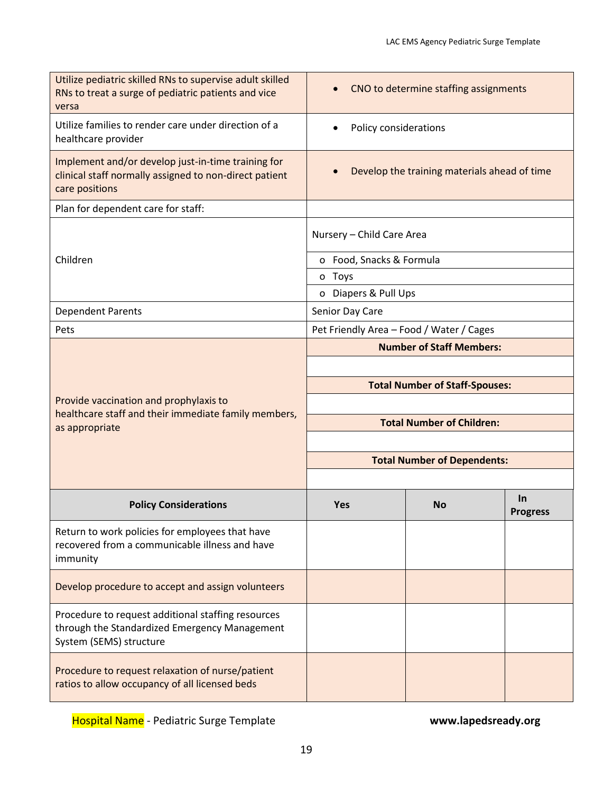| Utilize pediatric skilled RNs to supervise adult skilled<br>RNs to treat a surge of pediatric patients and vice<br>versa       | CNO to determine staffing assignments                                    |                                    |                              |  |
|--------------------------------------------------------------------------------------------------------------------------------|--------------------------------------------------------------------------|------------------------------------|------------------------------|--|
| Utilize families to render care under direction of a<br>healthcare provider                                                    | Policy considerations                                                    |                                    |                              |  |
| Implement and/or develop just-in-time training for<br>clinical staff normally assigned to non-direct patient<br>care positions | Develop the training materials ahead of time<br>$\bullet$                |                                    |                              |  |
| Plan for dependent care for staff:                                                                                             |                                                                          |                                    |                              |  |
|                                                                                                                                | Nursery - Child Care Area                                                |                                    |                              |  |
| Children                                                                                                                       | o Food, Snacks & Formula                                                 |                                    |                              |  |
|                                                                                                                                | o Toys                                                                   |                                    |                              |  |
|                                                                                                                                | o Diapers & Pull Ups                                                     |                                    |                              |  |
| <b>Dependent Parents</b>                                                                                                       | Senior Day Care                                                          |                                    |                              |  |
| Pets                                                                                                                           | Pet Friendly Area - Food / Water / Cages                                 |                                    |                              |  |
|                                                                                                                                | <b>Number of Staff Members:</b><br><b>Total Number of Staff-Spouses:</b> |                                    |                              |  |
| Provide vaccination and prophylaxis to                                                                                         |                                                                          |                                    |                              |  |
| healthcare staff and their immediate family members,<br>as appropriate                                                         |                                                                          | <b>Total Number of Children:</b>   |                              |  |
|                                                                                                                                |                                                                          |                                    |                              |  |
|                                                                                                                                |                                                                          | <b>Total Number of Dependents:</b> |                              |  |
|                                                                                                                                |                                                                          |                                    |                              |  |
| <b>Policy Considerations</b>                                                                                                   | <b>Yes</b>                                                               | <b>No</b>                          | <b>In</b><br><b>Progress</b> |  |
| Return to work policies for employees that have<br>recovered from a communicable illness and have<br>immunity                  |                                                                          |                                    |                              |  |
| Develop procedure to accept and assign volunteers                                                                              |                                                                          |                                    |                              |  |
| Procedure to request additional staffing resources<br>through the Standardized Emergency Management<br>System (SEMS) structure |                                                                          |                                    |                              |  |
| Procedure to request relaxation of nurse/patient<br>ratios to allow occupancy of all licensed beds                             |                                                                          |                                    |                              |  |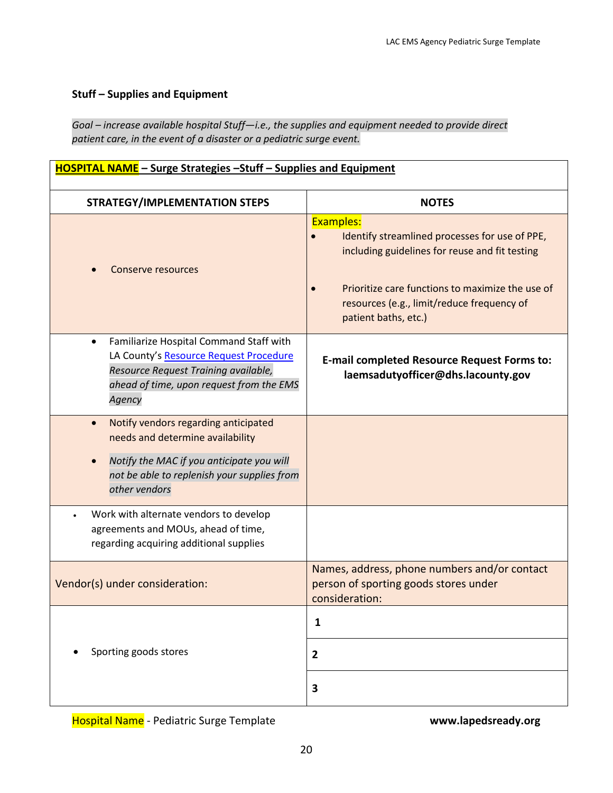#### <span id="page-19-0"></span>**Stuff – Supplies and Equipment**

*Goal – increase available hospital Stuff—i.e., the supplies and equipment needed to provide direct patient care, in the event of a disaster or a pediatric surge event.*

| <b>HOSPITAL NAME</b> - Surge Strategies - Stuff - Supplies and Equipment                                                                                                                           |                                                                                                                                                                                                                                                |  |  |
|----------------------------------------------------------------------------------------------------------------------------------------------------------------------------------------------------|------------------------------------------------------------------------------------------------------------------------------------------------------------------------------------------------------------------------------------------------|--|--|
| <b>STRATEGY/IMPLEMENTATION STEPS</b>                                                                                                                                                               | <b>NOTES</b>                                                                                                                                                                                                                                   |  |  |
| Conserve resources                                                                                                                                                                                 | <b>Examples:</b><br>Identify streamlined processes for use of PPE,<br>including guidelines for reuse and fit testing<br>Prioritize care functions to maximize the use of<br>resources (e.g., limit/reduce frequency of<br>patient baths, etc.) |  |  |
| Familiarize Hospital Command Staff with<br>$\bullet$<br>LA County's Resource Request Procedure<br>Resource Request Training available,<br>ahead of time, upon request from the EMS<br>Agency       | <b>E-mail completed Resource Request Forms to:</b><br>laemsadutyofficer@dhs.lacounty.gov                                                                                                                                                       |  |  |
| Notify vendors regarding anticipated<br>$\bullet$<br>needs and determine availability<br>Notify the MAC if you anticipate you will<br>not be able to replenish your supplies from<br>other vendors |                                                                                                                                                                                                                                                |  |  |
| Work with alternate vendors to develop<br>agreements and MOUs, ahead of time,<br>regarding acquiring additional supplies                                                                           |                                                                                                                                                                                                                                                |  |  |
| Vendor(s) under consideration:                                                                                                                                                                     | Names, address, phone numbers and/or contact<br>person of sporting goods stores under<br>consideration:                                                                                                                                        |  |  |
| Sporting goods stores                                                                                                                                                                              | 1<br>$\overline{2}$                                                                                                                                                                                                                            |  |  |
|                                                                                                                                                                                                    | 3                                                                                                                                                                                                                                              |  |  |

Hospital Name - Pediatric Surge Template **www.lapedsready.org**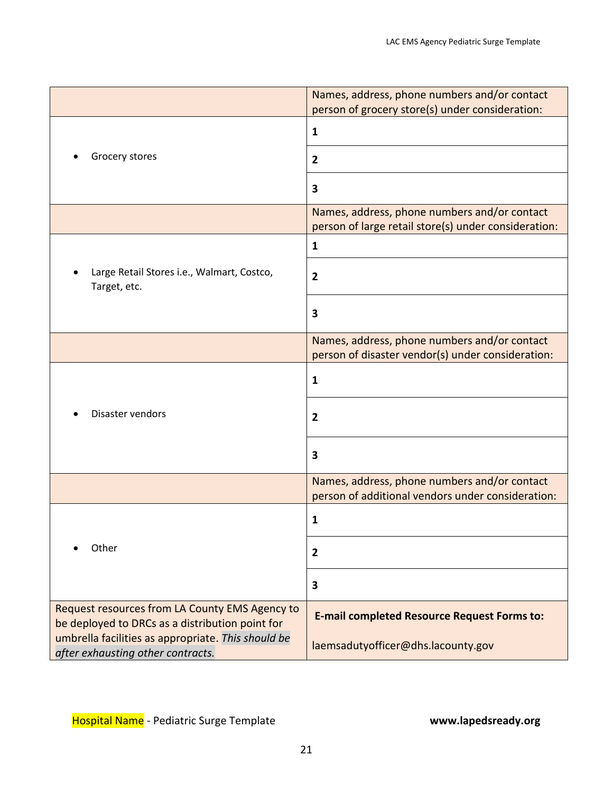|                                                                                                   | Names, address, phone numbers and/or contact<br>person of grocery store(s) under consideration:      |
|---------------------------------------------------------------------------------------------------|------------------------------------------------------------------------------------------------------|
|                                                                                                   | $\mathbf{1}$                                                                                         |
| Grocery stores                                                                                    | $\overline{\mathbf{2}}$                                                                              |
|                                                                                                   | 3                                                                                                    |
|                                                                                                   | Names, address, phone numbers and/or contact<br>person of large retail store(s) under consideration: |
|                                                                                                   | $\mathbf{1}$                                                                                         |
| Large Retail Stores i.e., Walmart, Costco,<br>Target, etc.                                        | $\overline{2}$                                                                                       |
|                                                                                                   | 3                                                                                                    |
|                                                                                                   | Names, address, phone numbers and/or contact<br>person of disaster vendor(s) under consideration:    |
|                                                                                                   | $\mathbf{1}$                                                                                         |
| Disaster vendors                                                                                  | $\overline{2}$                                                                                       |
|                                                                                                   | 3                                                                                                    |
|                                                                                                   | Names, address, phone numbers and/or contact<br>person of additional vendors under consideration:    |
|                                                                                                   | 1                                                                                                    |
| Other                                                                                             | $\overline{\mathbf{2}}$                                                                              |
|                                                                                                   | 3                                                                                                    |
| Request resources from LA County EMS Agency to<br>be deployed to DRCs as a distribution point for | <b>E-mail completed Resource Request Forms to:</b>                                                   |
| umbrella facilities as appropriate. This should be<br>after exhausting other contracts.           | laemsadutyofficer@dhs.lacounty.gov                                                                   |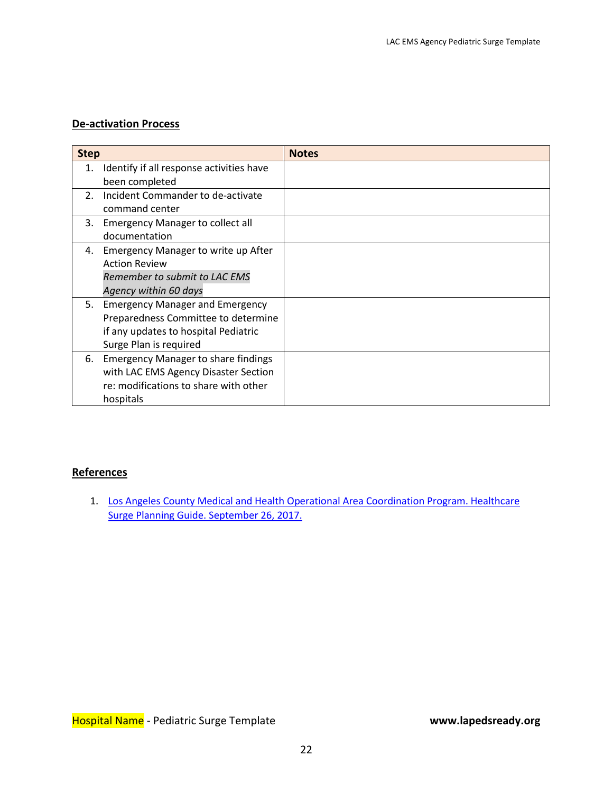#### <span id="page-21-0"></span>**De-activation Process**

| <b>Step</b> |                                            | <b>Notes</b> |
|-------------|--------------------------------------------|--------------|
| 1.          | Identify if all response activities have   |              |
|             | been completed                             |              |
| $2^{\circ}$ | Incident Commander to de-activate          |              |
|             | command center                             |              |
| 3.          | <b>Emergency Manager to collect all</b>    |              |
|             | documentation                              |              |
|             | 4. Emergency Manager to write up After     |              |
|             | <b>Action Review</b>                       |              |
|             | Remember to submit to LAC EMS              |              |
|             | Agency within 60 days                      |              |
| 5.          | <b>Emergency Manager and Emergency</b>     |              |
|             | Preparedness Committee to determine        |              |
|             | if any updates to hospital Pediatric       |              |
|             | Surge Plan is required                     |              |
| 6.          | <b>Emergency Manager to share findings</b> |              |
|             | with LAC EMS Agency Disaster Section       |              |
|             | re: modifications to share with other      |              |
|             | hospitals                                  |              |

#### <span id="page-21-1"></span>**References**

1. Los Angeles County Medical and Health Operational Area Coordination Program. Healthcare [Surge Planning Guide. September 26, 2017.](http://file.lacounty.gov/SDSInter/dhs/1029478_HealthcareSurgePlanningGuide20170926-Final.pdf)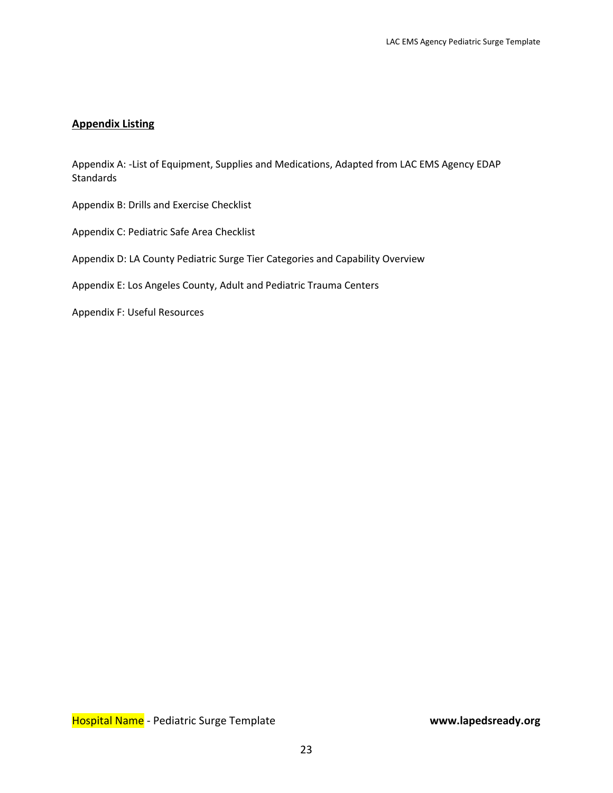#### <span id="page-22-0"></span>**Appendix Listing**

Appendix A: -List of Equipment, Supplies and Medications, Adapted from LAC EMS Agency EDAP **Standards** 

Appendix B: Drills and Exercise Checklist

Appendix C: Pediatric Safe Area Checklist

Appendix D: LA County Pediatric Surge Tier Categories and Capability Overview

Appendix E: Los Angeles County, Adult and Pediatric Trauma Centers

Appendix F: Useful Resources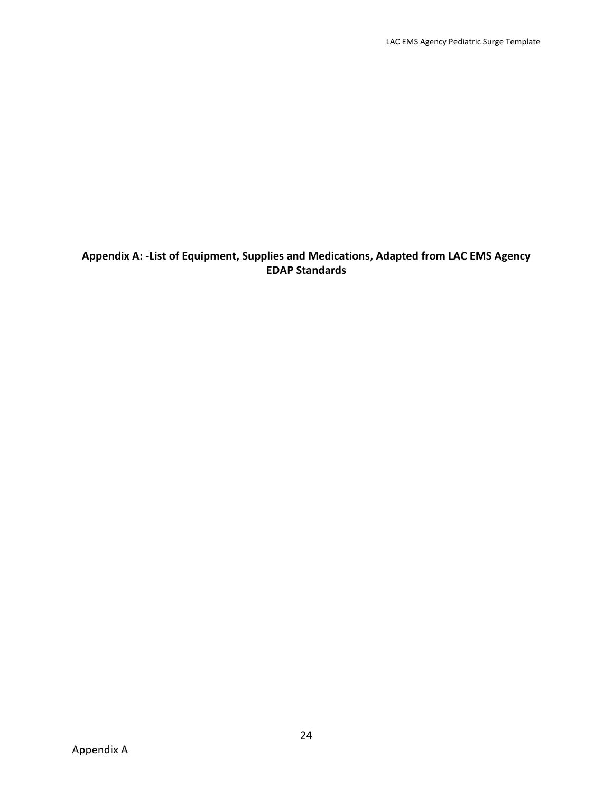## <span id="page-23-0"></span>**Appendix A: -List of Equipment, Supplies and Medications, Adapted from LAC EMS Agency EDAP Standards**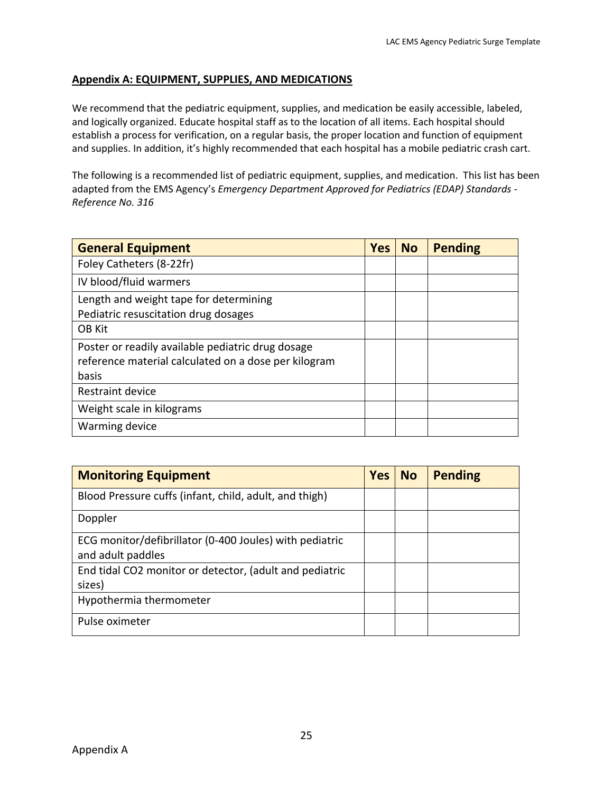#### **Appendix A: EQUIPMENT, SUPPLIES, AND MEDICATIONS**

We recommend that the pediatric equipment, supplies, and medication be easily accessible, labeled, and logically organized. Educate hospital staff as to the location of all items. Each hospital should establish a process for verification, on a regular basis, the proper location and function of equipment and supplies. In addition, it's highly recommended that each hospital has a mobile pediatric crash cart.

The following is a recommended list of pediatric equipment, supplies, and medication. This list has been adapted from the EMS Agency's *Emergency Department Approved for Pediatrics (EDAP) Standards - Reference No. 316*

| <b>General Equipment</b>                             | <b>Yes</b> | <b>No</b> | <b>Pending</b> |
|------------------------------------------------------|------------|-----------|----------------|
| Foley Catheters (8-22fr)                             |            |           |                |
| IV blood/fluid warmers                               |            |           |                |
| Length and weight tape for determining               |            |           |                |
| Pediatric resuscitation drug dosages                 |            |           |                |
| OB Kit                                               |            |           |                |
| Poster or readily available pediatric drug dosage    |            |           |                |
| reference material calculated on a dose per kilogram |            |           |                |
| basis                                                |            |           |                |
| Restraint device                                     |            |           |                |
| Weight scale in kilograms                            |            |           |                |
| Warming device                                       |            |           |                |

| <b>Monitoring Equipment</b>                             | Yes | <b>No</b> | <b>Pending</b> |
|---------------------------------------------------------|-----|-----------|----------------|
| Blood Pressure cuffs (infant, child, adult, and thigh)  |     |           |                |
| Doppler                                                 |     |           |                |
| ECG monitor/defibrillator (0-400 Joules) with pediatric |     |           |                |
| and adult paddles                                       |     |           |                |
| End tidal CO2 monitor or detector, (adult and pediatric |     |           |                |
| sizes)                                                  |     |           |                |
| Hypothermia thermometer                                 |     |           |                |
| Pulse oximeter                                          |     |           |                |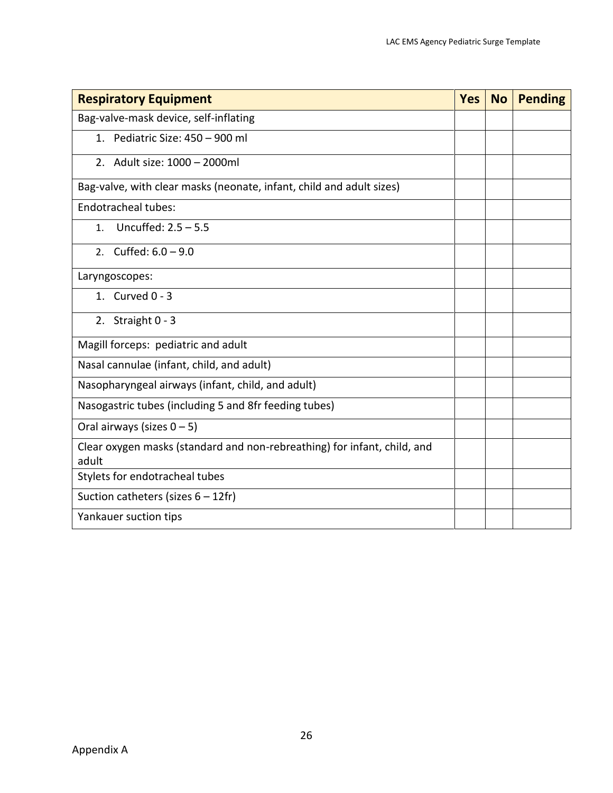| <b>Respiratory Equipment</b>                                                      | <b>Yes</b> | No | <b>Pending</b> |
|-----------------------------------------------------------------------------------|------------|----|----------------|
| Bag-valve-mask device, self-inflating                                             |            |    |                |
| 1. Pediatric Size: 450 - 900 ml                                                   |            |    |                |
| 2. Adult size: 1000 - 2000ml                                                      |            |    |                |
| Bag-valve, with clear masks (neonate, infant, child and adult sizes)              |            |    |                |
| Endotracheal tubes:                                                               |            |    |                |
| Uncuffed: $2.5 - 5.5$<br>$\mathbf{1}$ .                                           |            |    |                |
| 2. Cuffed: $6.0 - 9.0$                                                            |            |    |                |
| Laryngoscopes:                                                                    |            |    |                |
| 1. Curved $0 - 3$                                                                 |            |    |                |
| 2. Straight 0 - 3                                                                 |            |    |                |
| Magill forceps: pediatric and adult                                               |            |    |                |
| Nasal cannulae (infant, child, and adult)                                         |            |    |                |
| Nasopharyngeal airways (infant, child, and adult)                                 |            |    |                |
| Nasogastric tubes (including 5 and 8fr feeding tubes)                             |            |    |                |
| Oral airways (sizes $0 - 5$ )                                                     |            |    |                |
| Clear oxygen masks (standard and non-rebreathing) for infant, child, and<br>adult |            |    |                |
| Stylets for endotracheal tubes                                                    |            |    |                |
| Suction catheters (sizes $6 - 12$ fr)                                             |            |    |                |
| Yankauer suction tips                                                             |            |    |                |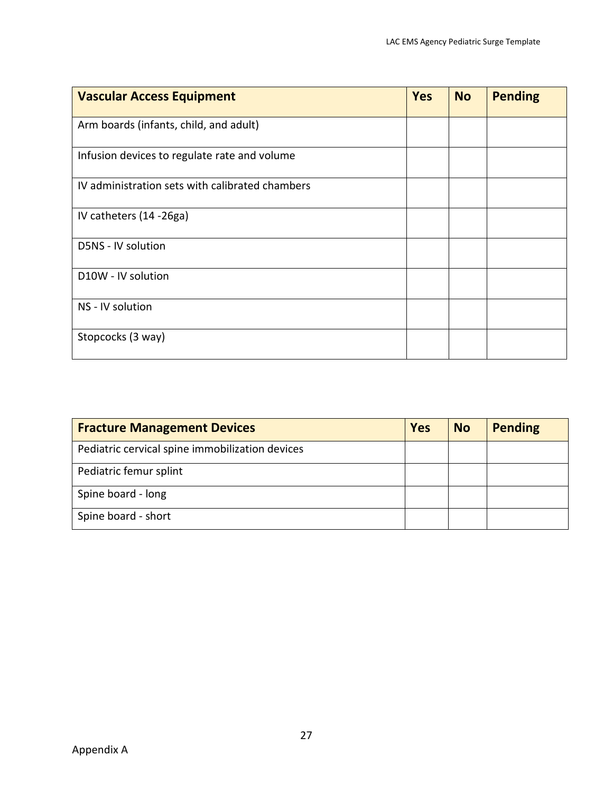| <b>Vascular Access Equipment</b>                | <b>Yes</b> | <b>No</b> | <b>Pending</b> |
|-------------------------------------------------|------------|-----------|----------------|
| Arm boards (infants, child, and adult)          |            |           |                |
| Infusion devices to regulate rate and volume    |            |           |                |
| IV administration sets with calibrated chambers |            |           |                |
| IV catheters (14 -26ga)                         |            |           |                |
| D5NS - IV solution                              |            |           |                |
| D10W - IV solution                              |            |           |                |
| NS - IV solution                                |            |           |                |
| Stopcocks (3 way)                               |            |           |                |

| <b>Fracture Management Devices</b>              | <b>Yes</b> | <b>No</b> | <b>Pending</b> |
|-------------------------------------------------|------------|-----------|----------------|
| Pediatric cervical spine immobilization devices |            |           |                |
| Pediatric femur splint                          |            |           |                |
| Spine board - long                              |            |           |                |
| Spine board - short                             |            |           |                |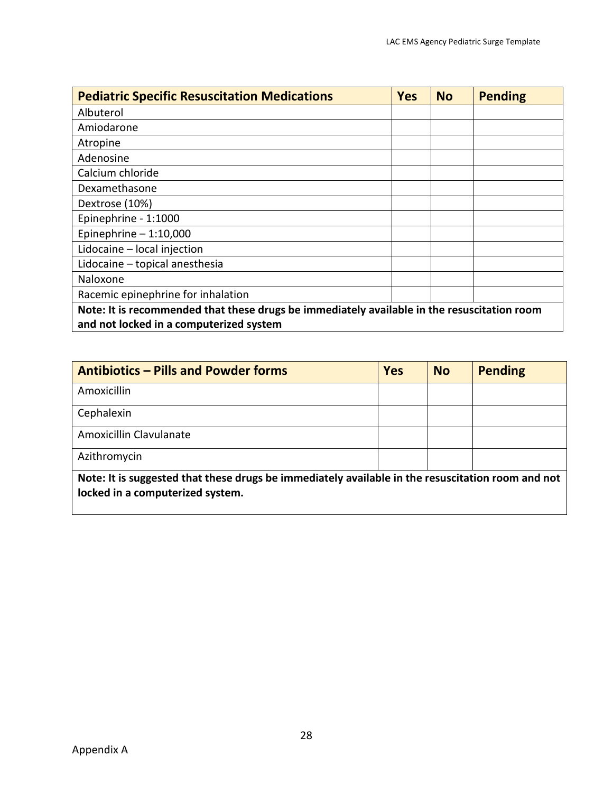| <b>Pediatric Specific Resuscitation Medications</b>                                         | <b>Yes</b> | <b>No</b> | <b>Pending</b> |
|---------------------------------------------------------------------------------------------|------------|-----------|----------------|
| Albuterol                                                                                   |            |           |                |
| Amiodarone                                                                                  |            |           |                |
| Atropine                                                                                    |            |           |                |
| Adenosine                                                                                   |            |           |                |
| Calcium chloride                                                                            |            |           |                |
| Dexamethasone                                                                               |            |           |                |
| Dextrose (10%)                                                                              |            |           |                |
| Epinephrine - 1:1000                                                                        |            |           |                |
| Epinephrine $-1:10,000$                                                                     |            |           |                |
| Lidocaine - local injection                                                                 |            |           |                |
| Lidocaine - topical anesthesia                                                              |            |           |                |
| Naloxone                                                                                    |            |           |                |
| Racemic epinephrine for inhalation                                                          |            |           |                |
| Note: It is recommended that these drugs be immediately available in the resuscitation room |            |           |                |
| and not locked in a computerized system                                                     |            |           |                |

| <b>Antibiotics – Pills and Powder forms</b>                                                                                           | <b>Yes</b> | <b>No</b> | <b>Pending</b> |  |
|---------------------------------------------------------------------------------------------------------------------------------------|------------|-----------|----------------|--|
| Amoxicillin                                                                                                                           |            |           |                |  |
| Cephalexin                                                                                                                            |            |           |                |  |
| Amoxicillin Clavulanate                                                                                                               |            |           |                |  |
| Azithromycin                                                                                                                          |            |           |                |  |
| Note: It is suggested that these drugs be immediately available in the resuscitation room and not<br>locked in a computerized system. |            |           |                |  |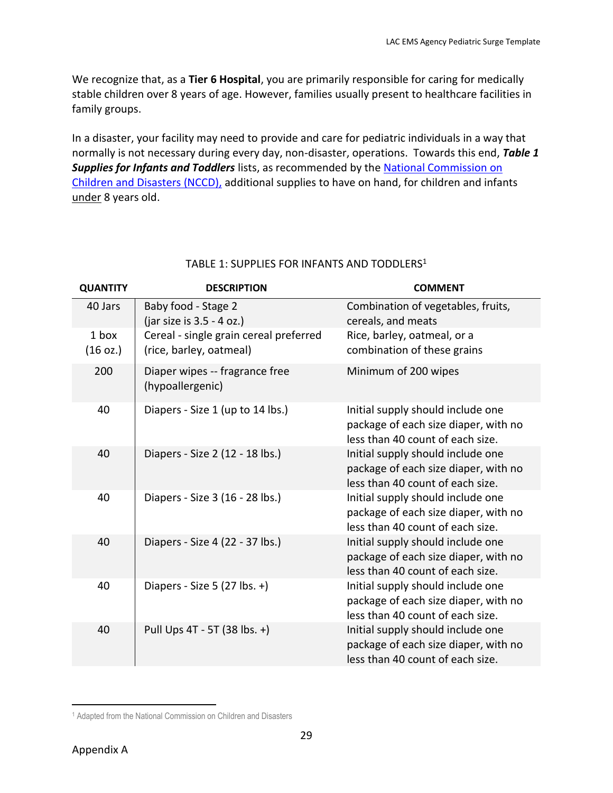We recognize that, as a **Tier 6 Hospital**, you are primarily responsible for caring for medically stable children over 8 years of age. However, families usually present to healthcare facilities in family groups.

In a disaster, your facility may need to provide and care for pediatric individuals in a way that normally is not necessary during every day, non-disaster, operations. Towards this end, *Table 1 Supplies for Infants and Toddlers* lists, as recommended by the [National Commission on](https://cybercemetery.unt.edu/archive/nccd/20110427002908/http:/www.childrenanddisasters.acf.hhs.gov/index.html)  [Children and Disasters \(NCCD\),](https://cybercemetery.unt.edu/archive/nccd/20110427002908/http:/www.childrenanddisasters.acf.hhs.gov/index.html) additional supplies to have on hand, for children and infants under 8 years old.

| <b>QUANTITY</b>             | <b>DESCRIPTION</b>                                                | <b>COMMENT</b>                                                                                                |
|-----------------------------|-------------------------------------------------------------------|---------------------------------------------------------------------------------------------------------------|
| 40 Jars                     | Baby food - Stage 2<br>(jar size is 3.5 - 4 oz.)                  | Combination of vegetables, fruits,<br>cereals, and meats                                                      |
| 1 box<br>$(16 \text{ oz.})$ | Cereal - single grain cereal preferred<br>(rice, barley, oatmeal) | Rice, barley, oatmeal, or a<br>combination of these grains                                                    |
| 200                         | Diaper wipes -- fragrance free<br>(hypoallergenic)                | Minimum of 200 wipes                                                                                          |
| 40                          | Diapers - Size 1 (up to 14 lbs.)                                  | Initial supply should include one<br>package of each size diaper, with no<br>less than 40 count of each size. |
| 40                          | Diapers - Size 2 (12 - 18 lbs.)                                   | Initial supply should include one<br>package of each size diaper, with no<br>less than 40 count of each size. |
| 40                          | Diapers - Size 3 (16 - 28 lbs.)                                   | Initial supply should include one<br>package of each size diaper, with no<br>less than 40 count of each size. |
| 40                          | Diapers - Size 4 (22 - 37 lbs.)                                   | Initial supply should include one<br>package of each size diaper, with no<br>less than 40 count of each size. |
| 40                          | Diapers - Size 5 $(27 \text{ lbs.} +)$                            | Initial supply should include one<br>package of each size diaper, with no<br>less than 40 count of each size. |
| 40                          | Pull Ups 4T - 5T (38 lbs. +)                                      | Initial supply should include one<br>package of each size diaper, with no<br>less than 40 count of each size. |
|                             |                                                                   |                                                                                                               |

#### TABLE 1: SUPPLIES FOR INFANTS AND TODDLERS<sup>1</sup>

<sup>&</sup>lt;sup>1</sup> Adapted from the National Commission on Children and Disasters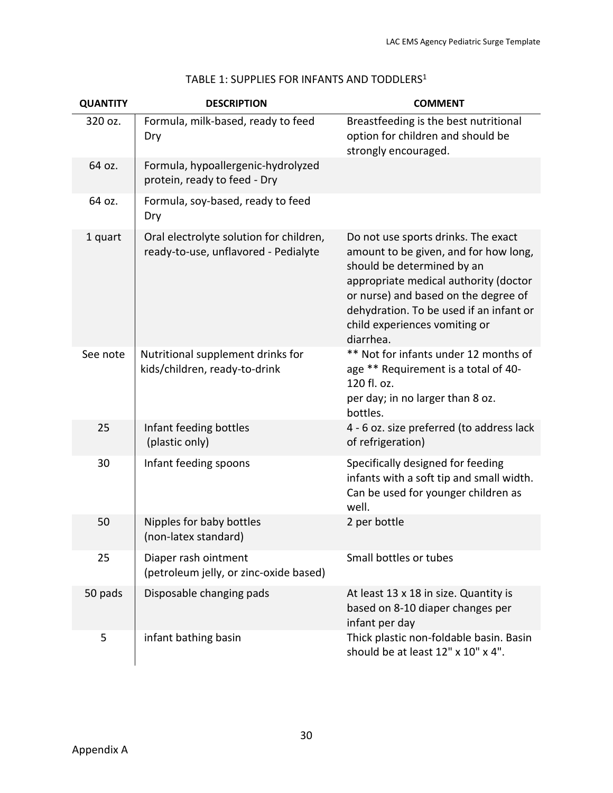| <b>QUANTITY</b> | <b>DESCRIPTION</b>                                                              | <b>COMMENT</b>                                                                                                                                                                                                                                                                       |
|-----------------|---------------------------------------------------------------------------------|--------------------------------------------------------------------------------------------------------------------------------------------------------------------------------------------------------------------------------------------------------------------------------------|
| 320 oz.         | Formula, milk-based, ready to feed<br>Dry                                       | Breastfeeding is the best nutritional<br>option for children and should be<br>strongly encouraged.                                                                                                                                                                                   |
| 64 oz.          | Formula, hypoallergenic-hydrolyzed<br>protein, ready to feed - Dry              |                                                                                                                                                                                                                                                                                      |
| 64 oz.          | Formula, soy-based, ready to feed<br>Dry                                        |                                                                                                                                                                                                                                                                                      |
| 1 quart         | Oral electrolyte solution for children,<br>ready-to-use, unflavored - Pedialyte | Do not use sports drinks. The exact<br>amount to be given, and for how long,<br>should be determined by an<br>appropriate medical authority (doctor<br>or nurse) and based on the degree of<br>dehydration. To be used if an infant or<br>child experiences vomiting or<br>diarrhea. |
| See note        | Nutritional supplement drinks for<br>kids/children, ready-to-drink              | ** Not for infants under 12 months of<br>age ** Requirement is a total of 40-<br>120 fl. oz.<br>per day; in no larger than 8 oz.<br>bottles.                                                                                                                                         |
| 25              | Infant feeding bottles<br>(plastic only)                                        | 4 - 6 oz. size preferred (to address lack<br>of refrigeration)                                                                                                                                                                                                                       |
| 30              | Infant feeding spoons                                                           | Specifically designed for feeding<br>infants with a soft tip and small width.<br>Can be used for younger children as<br>well.                                                                                                                                                        |
| 50              | Nipples for baby bottles<br>(non-latex standard)                                | 2 per bottle                                                                                                                                                                                                                                                                         |
| 25              | Diaper rash ointment<br>(petroleum jelly, or zinc-oxide based)                  | Small bottles or tubes                                                                                                                                                                                                                                                               |
| 50 pads         | Disposable changing pads                                                        | At least 13 x 18 in size. Quantity is<br>based on 8-10 diaper changes per<br>infant per day                                                                                                                                                                                          |
| 5               | infant bathing basin                                                            | Thick plastic non-foldable basin. Basin<br>should be at least 12" x 10" x 4".                                                                                                                                                                                                        |

## TABLE 1: SUPPLIES FOR INFANTS AND TODDLERS<sup>1</sup>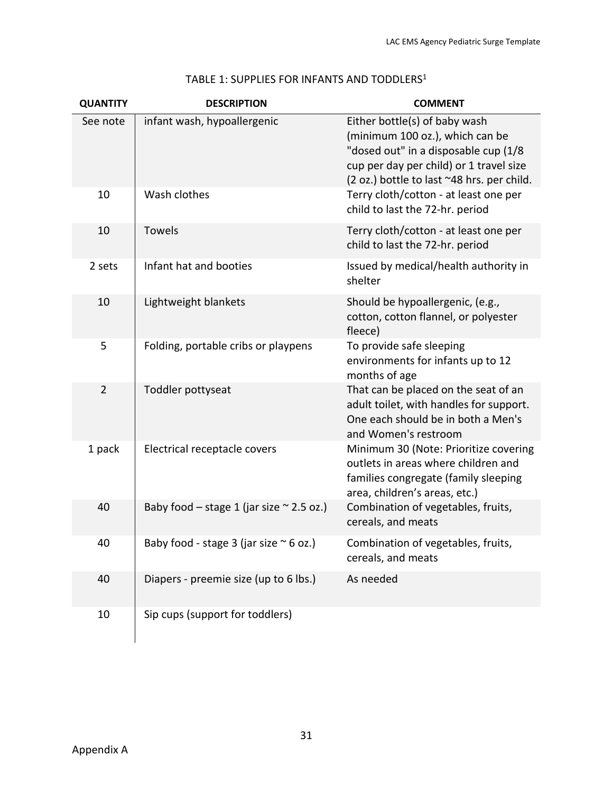| <b>QUANTITY</b> | <b>DESCRIPTION</b>                               | <b>COMMENT</b>                                                                                                                                                                                    |
|-----------------|--------------------------------------------------|---------------------------------------------------------------------------------------------------------------------------------------------------------------------------------------------------|
| See note        | infant wash, hypoallergenic                      | Either bottle(s) of baby wash<br>(minimum 100 oz.), which can be<br>"dosed out" in a disposable cup (1/8<br>cup per day per child) or 1 travel size<br>(2 oz.) bottle to last ~48 hrs. per child. |
| 10              | Wash clothes                                     | Terry cloth/cotton - at least one per<br>child to last the 72-hr. period                                                                                                                          |
| 10              | Towels                                           | Terry cloth/cotton - at least one per<br>child to last the 72-hr. period                                                                                                                          |
| 2 sets          | Infant hat and booties                           | Issued by medical/health authority in<br>shelter                                                                                                                                                  |
| 10              | Lightweight blankets                             | Should be hypoallergenic, (e.g.,<br>cotton, cotton flannel, or polyester<br>fleece)                                                                                                               |
| 5               | Folding, portable cribs or playpens              | To provide safe sleeping<br>environments for infants up to 12<br>months of age                                                                                                                    |
| $\overline{2}$  | Toddler pottyseat                                | That can be placed on the seat of an<br>adult toilet, with handles for support.<br>One each should be in both a Men's<br>and Women's restroom                                                     |
| 1 pack          | Electrical receptacle covers                     | Minimum 30 (Note: Prioritize covering<br>outlets in areas where children and<br>families congregate (family sleeping<br>area, children's areas, etc.)                                             |
| 40              | Baby food – stage 1 (jar size $\approx$ 2.5 oz.) | Combination of vegetables, fruits,<br>cereals, and meats                                                                                                                                          |
| 40              | Baby food - stage 3 (jar size $\sim$ 6 oz.)      | Combination of vegetables, fruits,<br>cereals, and meats                                                                                                                                          |
| 40              | Diapers - preemie size (up to 6 lbs.)            | As needed                                                                                                                                                                                         |
| 10              | Sip cups (support for toddlers)                  |                                                                                                                                                                                                   |

## TABLE 1: SUPPLIES FOR INFANTS AND TODDLERS<sup>1</sup>

 $\vert$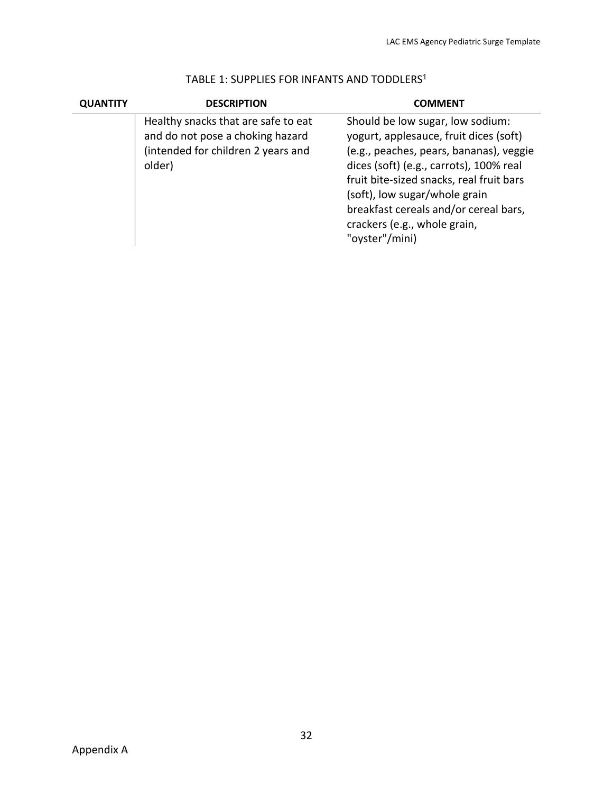| <b>QUANTITY</b> | <b>DESCRIPTION</b>                                                                                                      | <b>COMMENT</b>                                                                                                                                                                                                                                                                                                         |
|-----------------|-------------------------------------------------------------------------------------------------------------------------|------------------------------------------------------------------------------------------------------------------------------------------------------------------------------------------------------------------------------------------------------------------------------------------------------------------------|
|                 | Healthy snacks that are safe to eat<br>and do not pose a choking hazard<br>(intended for children 2 years and<br>older) | Should be low sugar, low sodium:<br>yogurt, applesauce, fruit dices (soft)<br>(e.g., peaches, pears, bananas), veggie<br>dices (soft) (e.g., carrots), 100% real<br>fruit bite-sized snacks, real fruit bars<br>(soft), low sugar/whole grain<br>breakfast cereals and/or cereal bars,<br>crackers (e.g., whole grain, |
|                 |                                                                                                                         | "oyster"/mini)                                                                                                                                                                                                                                                                                                         |

## TABLE 1: SUPPLIES FOR INFANTS AND TODDLERS<sup>1</sup>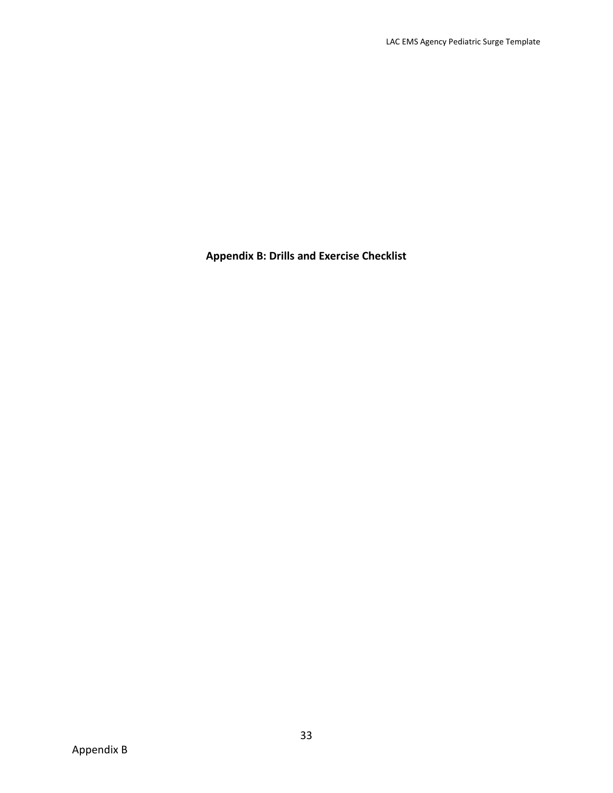<span id="page-32-0"></span>**Appendix B: Drills and Exercise Checklist**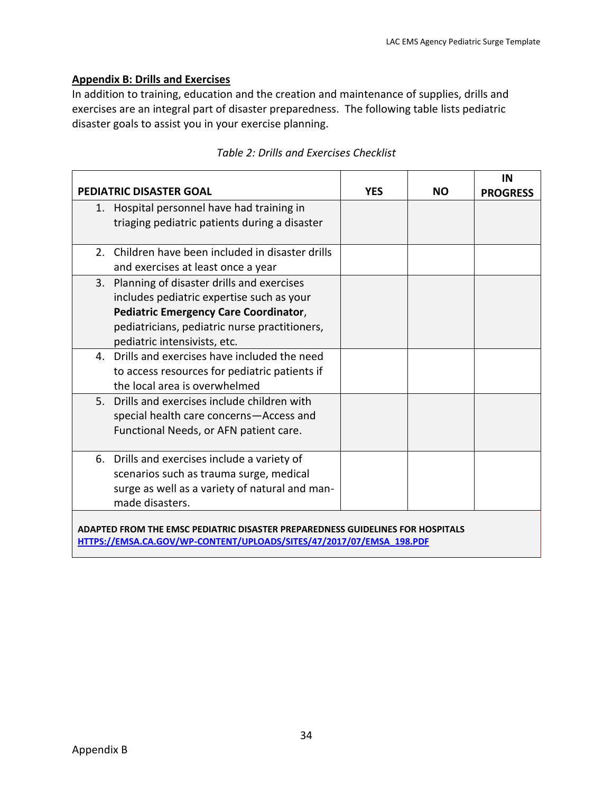#### **Appendix B: Drills and Exercises**

In addition to training, education and the creation and maintenance of supplies, drills and exercises are an integral part of disaster preparedness. The following table lists pediatric disaster goals to assist you in your exercise planning.

|                | PEDIATRIC DISASTER GOAL                                                                                                                                | <b>YES</b> | <b>NO</b> | IN<br><b>PROGRESS</b> |
|----------------|--------------------------------------------------------------------------------------------------------------------------------------------------------|------------|-----------|-----------------------|
|                | 1. Hospital personnel have had training in                                                                                                             |            |           |                       |
|                | triaging pediatric patients during a disaster                                                                                                          |            |           |                       |
|                |                                                                                                                                                        |            |           |                       |
|                | 2. Children have been included in disaster drills                                                                                                      |            |           |                       |
|                | and exercises at least once a year                                                                                                                     |            |           |                       |
| 3.             | Planning of disaster drills and exercises                                                                                                              |            |           |                       |
|                | includes pediatric expertise such as your                                                                                                              |            |           |                       |
|                | <b>Pediatric Emergency Care Coordinator,</b>                                                                                                           |            |           |                       |
|                | pediatricians, pediatric nurse practitioners,                                                                                                          |            |           |                       |
|                | pediatric intensivists, etc.                                                                                                                           |            |           |                       |
| 4 <sup>1</sup> | Drills and exercises have included the need                                                                                                            |            |           |                       |
|                | to access resources for pediatric patients if                                                                                                          |            |           |                       |
|                | the local area is overwhelmed                                                                                                                          |            |           |                       |
|                | 5. Drills and exercises include children with                                                                                                          |            |           |                       |
|                | special health care concerns-Access and                                                                                                                |            |           |                       |
|                | Functional Needs, or AFN patient care.                                                                                                                 |            |           |                       |
|                | 6. Drills and exercises include a variety of                                                                                                           |            |           |                       |
|                | scenarios such as trauma surge, medical                                                                                                                |            |           |                       |
|                | surge as well as a variety of natural and man-                                                                                                         |            |           |                       |
|                | made disasters.                                                                                                                                        |            |           |                       |
|                |                                                                                                                                                        |            |           |                       |
|                | ADAPTED FROM THE EMSC PEDIATRIC DISASTER PREPAREDNESS GUIDELINES FOR HOSPITALS<br>HTTPS://EMSA.CA.GOV/WP-CONTENT/UPLOADS/SITES/47/2017/07/EMSA_198.PDF |            |           |                       |

#### *Table 2: Drills and Exercises Checklist*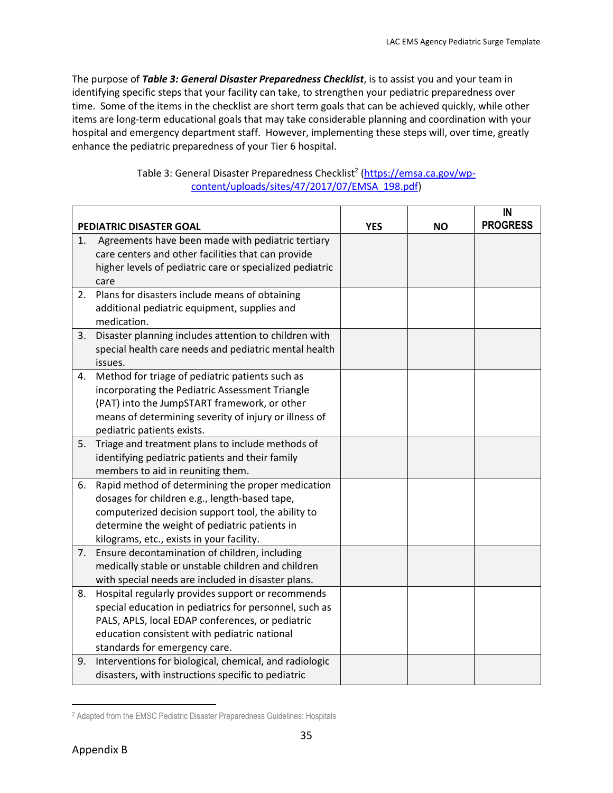The purpose of *Table 3: General Disaster Preparedness Checklist*, is to assist you and your team in identifying specific steps that your facility can take, to strengthen your pediatric preparedness over time. Some of the items in the checklist are short term goals that can be achieved quickly, while other items are long-term educational goals that may take considerable planning and coordination with your hospital and emergency department staff. However, implementing these steps will, over time, greatly enhance the pediatric preparedness of your Tier 6 hospital.

|    | PEDIATRIC DISASTER GOAL                                                                | <b>YES</b> | <b>NO</b> | IN<br><b>PROGRESS</b> |
|----|----------------------------------------------------------------------------------------|------------|-----------|-----------------------|
| 1. | Agreements have been made with pediatric tertiary                                      |            |           |                       |
|    | care centers and other facilities that can provide                                     |            |           |                       |
|    | higher levels of pediatric care or specialized pediatric<br>care                       |            |           |                       |
| 2. | Plans for disasters include means of obtaining                                         |            |           |                       |
|    | additional pediatric equipment, supplies and                                           |            |           |                       |
|    | medication.                                                                            |            |           |                       |
| 3. | Disaster planning includes attention to children with                                  |            |           |                       |
|    | special health care needs and pediatric mental health                                  |            |           |                       |
|    | issues.                                                                                |            |           |                       |
| 4. | Method for triage of pediatric patients such as                                        |            |           |                       |
|    | incorporating the Pediatric Assessment Triangle                                        |            |           |                       |
|    | (PAT) into the JumpSTART framework, or other                                           |            |           |                       |
|    | means of determining severity of injury or illness of                                  |            |           |                       |
|    | pediatric patients exists.                                                             |            |           |                       |
| 5. | Triage and treatment plans to include methods of                                       |            |           |                       |
|    | identifying pediatric patients and their family                                        |            |           |                       |
| 6. | members to aid in reuniting them.<br>Rapid method of determining the proper medication |            |           |                       |
|    | dosages for children e.g., length-based tape,                                          |            |           |                       |
|    | computerized decision support tool, the ability to                                     |            |           |                       |
|    | determine the weight of pediatric patients in                                          |            |           |                       |
|    | kilograms, etc., exists in your facility.                                              |            |           |                       |
| 7. | Ensure decontamination of children, including                                          |            |           |                       |
|    | medically stable or unstable children and children                                     |            |           |                       |
|    | with special needs are included in disaster plans.                                     |            |           |                       |
| 8. | Hospital regularly provides support or recommends                                      |            |           |                       |
|    | special education in pediatrics for personnel, such as                                 |            |           |                       |
|    | PALS, APLS, local EDAP conferences, or pediatric                                       |            |           |                       |
|    | education consistent with pediatric national                                           |            |           |                       |
|    | standards for emergency care.                                                          |            |           |                       |
| 9. | Interventions for biological, chemical, and radiologic                                 |            |           |                       |
|    | disasters, with instructions specific to pediatric                                     |            |           |                       |

| Table 3: General Disaster Preparedness Checklist <sup>2</sup> (https://emsa.ca.gov/wp- |
|----------------------------------------------------------------------------------------|
| content/uploads/sites/47/2017/07/EMSA 198.pdf)                                         |

<sup>2</sup> Adapted from the EMSC Pediatric Disaster Preparedness Guidelines: Hospitals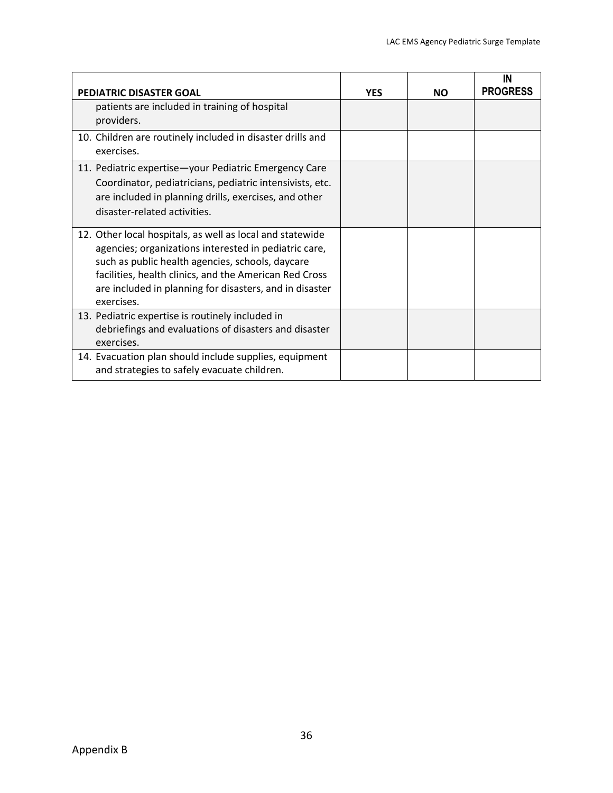| PEDIATRIC DISASTER GOAL                                                                                                                                                                                                                                                                                   | <b>YES</b> | <b>NO</b> | ΙN<br><b>PROGRESS</b> |
|-----------------------------------------------------------------------------------------------------------------------------------------------------------------------------------------------------------------------------------------------------------------------------------------------------------|------------|-----------|-----------------------|
| patients are included in training of hospital<br>providers.                                                                                                                                                                                                                                               |            |           |                       |
| 10. Children are routinely included in disaster drills and<br>exercises.                                                                                                                                                                                                                                  |            |           |                       |
| 11. Pediatric expertise-your Pediatric Emergency Care<br>Coordinator, pediatricians, pediatric intensivists, etc.<br>are included in planning drills, exercises, and other<br>disaster-related activities.                                                                                                |            |           |                       |
| 12. Other local hospitals, as well as local and statewide<br>agencies; organizations interested in pediatric care,<br>such as public health agencies, schools, daycare<br>facilities, health clinics, and the American Red Cross<br>are included in planning for disasters, and in disaster<br>exercises. |            |           |                       |
| 13. Pediatric expertise is routinely included in<br>debriefings and evaluations of disasters and disaster<br>exercises.                                                                                                                                                                                   |            |           |                       |
| 14. Evacuation plan should include supplies, equipment<br>and strategies to safely evacuate children.                                                                                                                                                                                                     |            |           |                       |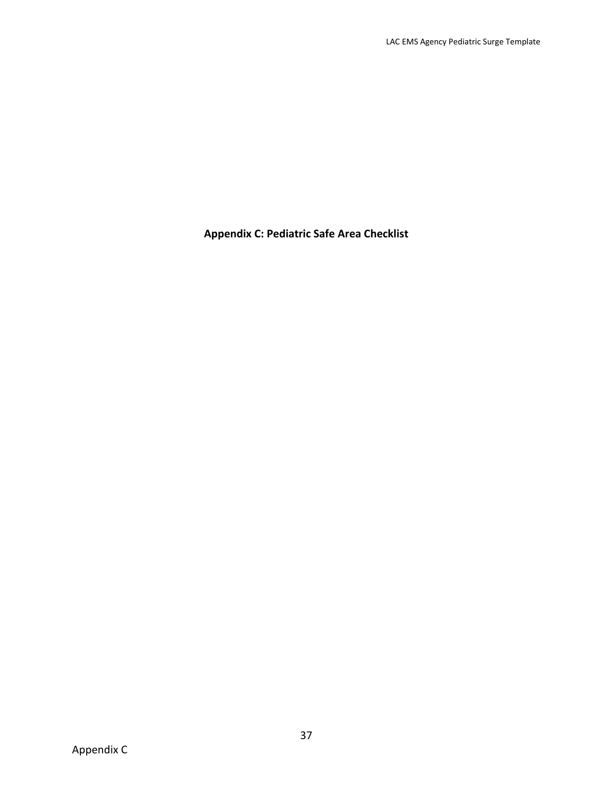<span id="page-36-0"></span>**Appendix C: Pediatric Safe Area Checklist**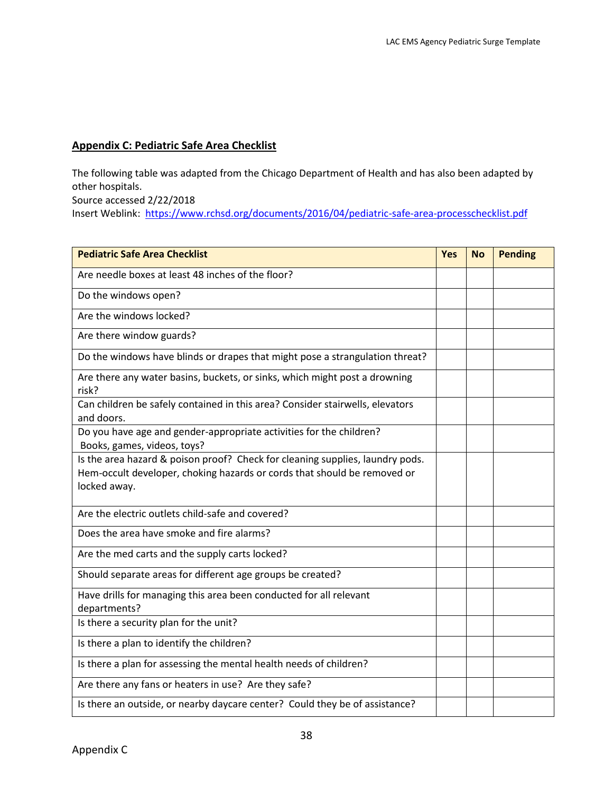## <span id="page-37-0"></span>**Appendix C: Pediatric Safe Area Checklist**

The following table was adapted from the Chicago Department of Health and has also been adapted by other hospitals.

Source accessed 2/22/2018

Insert Weblink: <https://www.rchsd.org/documents/2016/04/pediatric-safe-area-processchecklist.pdf>

| <b>Pediatric Safe Area Checklist</b>                                                                                                                                      | <b>Yes</b> | <b>No</b> | <b>Pending</b> |
|---------------------------------------------------------------------------------------------------------------------------------------------------------------------------|------------|-----------|----------------|
| Are needle boxes at least 48 inches of the floor?                                                                                                                         |            |           |                |
| Do the windows open?                                                                                                                                                      |            |           |                |
| Are the windows locked?                                                                                                                                                   |            |           |                |
| Are there window guards?                                                                                                                                                  |            |           |                |
| Do the windows have blinds or drapes that might pose a strangulation threat?                                                                                              |            |           |                |
| Are there any water basins, buckets, or sinks, which might post a drowning<br>risk?                                                                                       |            |           |                |
| Can children be safely contained in this area? Consider stairwells, elevators<br>and doors.                                                                               |            |           |                |
| Do you have age and gender-appropriate activities for the children?<br>Books, games, videos, toys?                                                                        |            |           |                |
| Is the area hazard & poison proof? Check for cleaning supplies, laundry pods.<br>Hem-occult developer, choking hazards or cords that should be removed or<br>locked away. |            |           |                |
| Are the electric outlets child-safe and covered?                                                                                                                          |            |           |                |
| Does the area have smoke and fire alarms?                                                                                                                                 |            |           |                |
| Are the med carts and the supply carts locked?                                                                                                                            |            |           |                |
| Should separate areas for different age groups be created?                                                                                                                |            |           |                |
| Have drills for managing this area been conducted for all relevant<br>departments?                                                                                        |            |           |                |
| Is there a security plan for the unit?                                                                                                                                    |            |           |                |
| Is there a plan to identify the children?                                                                                                                                 |            |           |                |
| Is there a plan for assessing the mental health needs of children?                                                                                                        |            |           |                |
| Are there any fans or heaters in use? Are they safe?                                                                                                                      |            |           |                |
| Is there an outside, or nearby daycare center? Could they be of assistance?                                                                                               |            |           |                |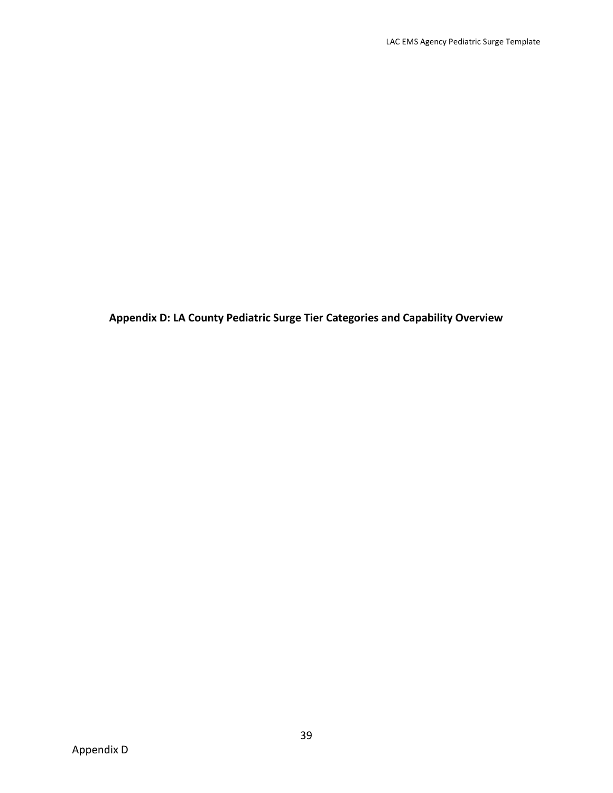<span id="page-38-0"></span>**Appendix D: LA County Pediatric Surge Tier Categories and Capability Overview**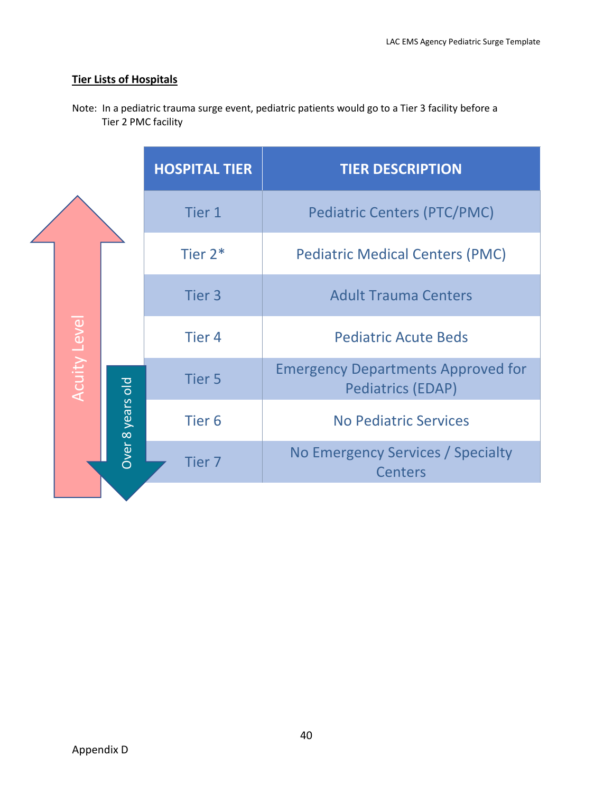## **Tier Lists of Hospitals**

Note: In a pediatric trauma surge event, pediatric patients would go to a Tier 3 facility before a Tier 2 PMC facility

|  |              |                  | <b>HOSPITAL TIER</b> | <b>TIER DESCRIPTION</b>                                               |
|--|--------------|------------------|----------------------|-----------------------------------------------------------------------|
|  |              |                  | Tier 1               | <b>Pediatric Centers (PTC/PMC)</b>                                    |
|  | Acuity Level | Over 8 years old | Tier $2*$            | <b>Pediatric Medical Centers (PMC)</b>                                |
|  |              |                  | Tier <sub>3</sub>    | <b>Adult Trauma Centers</b>                                           |
|  |              |                  | Tier <sub>4</sub>    | <b>Pediatric Acute Beds</b>                                           |
|  |              |                  | <b>Tier 5</b>        | <b>Emergency Departments Approved for</b><br><b>Pediatrics (EDAP)</b> |
|  |              |                  | Tier <sub>6</sub>    | <b>No Pediatric Services</b>                                          |
|  |              |                  | Tier <sub>7</sub>    | No Emergency Services / Specialty<br><b>Centers</b>                   |
|  |              |                  |                      |                                                                       |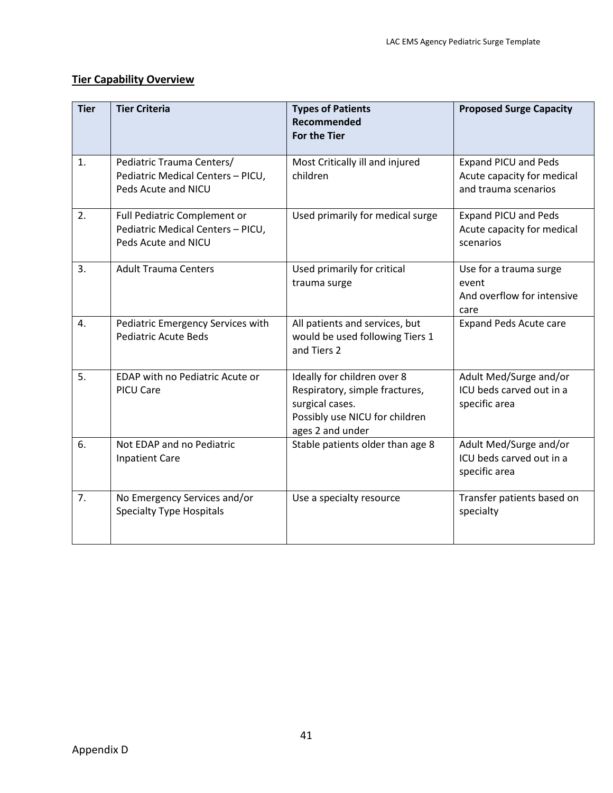## **Tier Capability Overview**

| <b>Tier</b> | <b>Tier Criteria</b>                                                                     | <b>Types of Patients</b><br><b>Recommended</b><br><b>For the Tier</b>                                                                  | <b>Proposed Surge Capacity</b>                                                    |
|-------------|------------------------------------------------------------------------------------------|----------------------------------------------------------------------------------------------------------------------------------------|-----------------------------------------------------------------------------------|
| 1.          | Pediatric Trauma Centers/<br>Pediatric Medical Centers - PICU,<br>Peds Acute and NICU    | Most Critically ill and injured<br>children                                                                                            | <b>Expand PICU and Peds</b><br>Acute capacity for medical<br>and trauma scenarios |
| 2.          | Full Pediatric Complement or<br>Pediatric Medical Centers - PICU,<br>Peds Acute and NICU | Used primarily for medical surge                                                                                                       | <b>Expand PICU and Peds</b><br>Acute capacity for medical<br>scenarios            |
| 3.          | <b>Adult Trauma Centers</b>                                                              | Used primarily for critical<br>trauma surge                                                                                            | Use for a trauma surge<br>event<br>And overflow for intensive<br>care             |
| 4.          | Pediatric Emergency Services with<br><b>Pediatric Acute Beds</b>                         | All patients and services, but<br>would be used following Tiers 1<br>and Tiers 2                                                       | <b>Expand Peds Acute care</b>                                                     |
| 5.          | EDAP with no Pediatric Acute or<br><b>PICU Care</b>                                      | Ideally for children over 8<br>Respiratory, simple fractures,<br>surgical cases.<br>Possibly use NICU for children<br>ages 2 and under | Adult Med/Surge and/or<br>ICU beds carved out in a<br>specific area               |
| 6.          | Not EDAP and no Pediatric<br><b>Inpatient Care</b>                                       | Stable patients older than age 8                                                                                                       | Adult Med/Surge and/or<br>ICU beds carved out in a<br>specific area               |
| 7.          | No Emergency Services and/or<br><b>Specialty Type Hospitals</b>                          | Use a specialty resource                                                                                                               | Transfer patients based on<br>specialty                                           |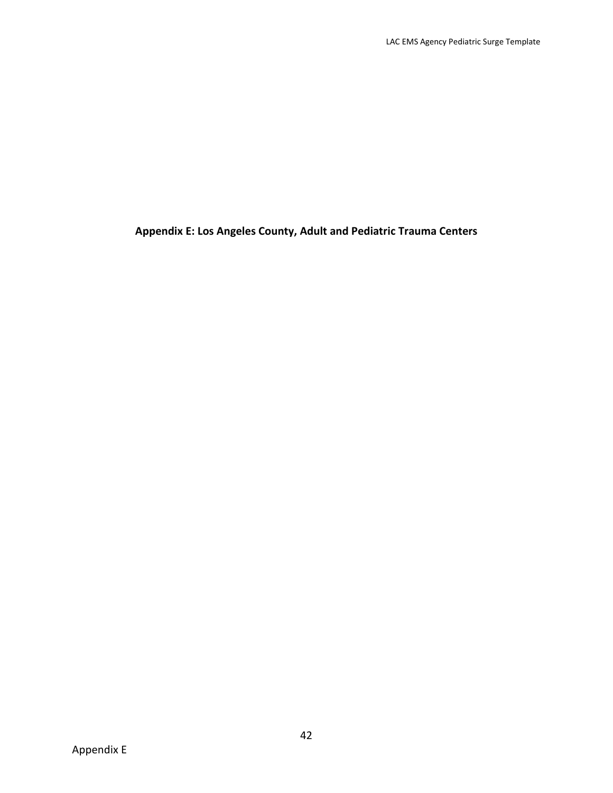<span id="page-41-0"></span>**Appendix E: Los Angeles County, Adult and Pediatric Trauma Centers**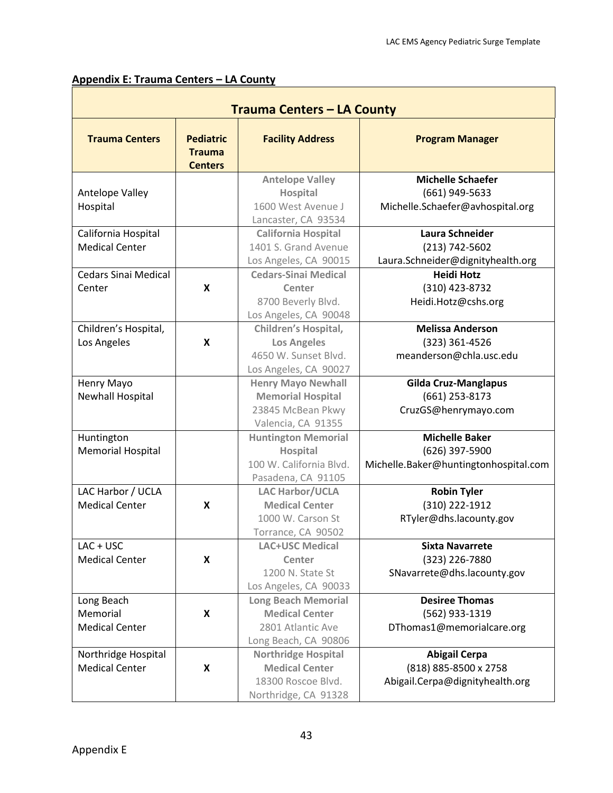П

## **Appendix E: Trauma Centers – LA County**

| <b>Trauma Centers - LA County</b> |                                                     |                             |                                       |  |  |
|-----------------------------------|-----------------------------------------------------|-----------------------------|---------------------------------------|--|--|
| <b>Trauma Centers</b>             | <b>Pediatric</b><br><b>Trauma</b><br><b>Centers</b> | <b>Facility Address</b>     | <b>Program Manager</b>                |  |  |
|                                   |                                                     | <b>Antelope Valley</b>      | <b>Michelle Schaefer</b>              |  |  |
| Antelope Valley                   |                                                     | <b>Hospital</b>             | (661) 949-5633                        |  |  |
| Hospital                          |                                                     | 1600 West Avenue J          | Michelle.Schaefer@avhospital.org      |  |  |
|                                   |                                                     | Lancaster, CA 93534         |                                       |  |  |
| California Hospital               |                                                     | <b>California Hospital</b>  | Laura Schneider                       |  |  |
| <b>Medical Center</b>             |                                                     | 1401 S. Grand Avenue        | (213) 742-5602                        |  |  |
|                                   |                                                     | Los Angeles, CA 90015       | Laura.Schneider@dignityhealth.org     |  |  |
| <b>Cedars Sinai Medical</b>       |                                                     | <b>Cedars-Sinai Medical</b> | <b>Heidi Hotz</b>                     |  |  |
| Center                            | X                                                   | Center                      | (310) 423-8732                        |  |  |
|                                   |                                                     | 8700 Beverly Blvd.          | Heidi.Hotz@cshs.org                   |  |  |
|                                   |                                                     | Los Angeles, CA 90048       |                                       |  |  |
| Children's Hospital,              |                                                     | <b>Children's Hospital,</b> | <b>Melissa Anderson</b>               |  |  |
| Los Angeles                       | X                                                   | <b>Los Angeles</b>          | (323) 361-4526                        |  |  |
|                                   |                                                     | 4650 W. Sunset Blvd.        | meanderson@chla.usc.edu               |  |  |
|                                   |                                                     | Los Angeles, CA 90027       |                                       |  |  |
| Henry Mayo                        |                                                     | <b>Henry Mayo Newhall</b>   | <b>Gilda Cruz-Manglapus</b>           |  |  |
| Newhall Hospital                  |                                                     | <b>Memorial Hospital</b>    | (661) 253-8173                        |  |  |
|                                   |                                                     | 23845 McBean Pkwy           | CruzGS@henrymayo.com                  |  |  |
|                                   |                                                     | Valencia, CA 91355          |                                       |  |  |
| Huntington                        |                                                     | <b>Huntington Memorial</b>  | <b>Michelle Baker</b>                 |  |  |
| <b>Memorial Hospital</b>          |                                                     | <b>Hospital</b>             | (626) 397-5900                        |  |  |
|                                   |                                                     | 100 W. California Blvd.     | Michelle.Baker@huntingtonhospital.com |  |  |
|                                   |                                                     | Pasadena, CA 91105          |                                       |  |  |
| LAC Harbor / UCLA                 |                                                     | <b>LAC Harbor/UCLA</b>      | <b>Robin Tyler</b>                    |  |  |
| <b>Medical Center</b>             | X                                                   | <b>Medical Center</b>       | (310) 222-1912                        |  |  |
|                                   |                                                     | 1000 W. Carson St           | RTyler@dhs.lacounty.gov               |  |  |
|                                   |                                                     | Torrance, CA 90502          |                                       |  |  |
| $LAC + USC$                       |                                                     | <b>LAC+USC Medical</b>      | <b>Sixta Navarrete</b>                |  |  |
| <b>Medical Center</b>             | X                                                   | Center                      | (323) 226-7880                        |  |  |
|                                   |                                                     | 1200 N. State St            | SNavarrete@dhs.lacounty.gov           |  |  |
|                                   |                                                     | Los Angeles, CA 90033       |                                       |  |  |
| Long Beach                        |                                                     | <b>Long Beach Memorial</b>  | <b>Desiree Thomas</b>                 |  |  |
| Memorial                          | X                                                   | <b>Medical Center</b>       | (562) 933-1319                        |  |  |
| <b>Medical Center</b>             |                                                     | 2801 Atlantic Ave           | DThomas1@memorialcare.org             |  |  |
|                                   |                                                     | Long Beach, CA 90806        |                                       |  |  |
| Northridge Hospital               |                                                     | <b>Northridge Hospital</b>  | <b>Abigail Cerpa</b>                  |  |  |
| <b>Medical Center</b>             | X                                                   | <b>Medical Center</b>       | (818) 885-8500 x 2758                 |  |  |
|                                   |                                                     | 18300 Roscoe Blvd.          | Abigail.Cerpa@dignityhealth.org       |  |  |
|                                   |                                                     | Northridge, CA 91328        |                                       |  |  |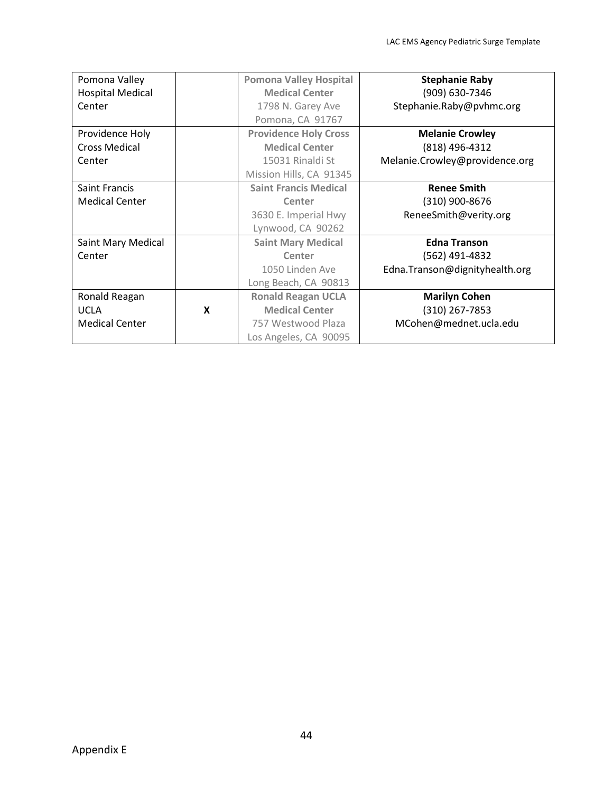| Pomona Valley           |   | <b>Pomona Valley Hospital</b> | <b>Stephanie Raby</b>          |
|-------------------------|---|-------------------------------|--------------------------------|
|                         |   |                               |                                |
| <b>Hospital Medical</b> |   | <b>Medical Center</b>         | (909) 630-7346                 |
| Center                  |   | 1798 N. Garey Ave             | Stephanie.Raby@pvhmc.org       |
|                         |   | Pomona, CA 91767              |                                |
| Providence Holy         |   | <b>Providence Holy Cross</b>  | <b>Melanie Crowley</b>         |
| <b>Cross Medical</b>    |   | <b>Medical Center</b>         | (818) 496-4312                 |
| Center                  |   | 15031 Rinaldi St              | Melanie.Crowley@providence.org |
|                         |   | Mission Hills, CA 91345       |                                |
| Saint Francis           |   | <b>Saint Francis Medical</b>  | <b>Renee Smith</b>             |
| <b>Medical Center</b>   |   | <b>Center</b>                 | (310) 900-8676                 |
|                         |   | 3630 E. Imperial Hwy          | ReneeSmith@verity.org          |
|                         |   | Lynwood, CA 90262             |                                |
| Saint Mary Medical      |   | <b>Saint Mary Medical</b>     | <b>Edna Transon</b>            |
| Center                  |   | Center                        | (562) 491-4832                 |
|                         |   | 1050 Linden Ave               | Edna.Transon@dignityhealth.org |
|                         |   | Long Beach, CA 90813          |                                |
| Ronald Reagan           |   | <b>Ronald Reagan UCLA</b>     | <b>Marilyn Cohen</b>           |
| <b>UCLA</b>             | X | <b>Medical Center</b>         | (310) 267-7853                 |
| <b>Medical Center</b>   |   | 757 Westwood Plaza            | MCohen@mednet.ucla.edu         |
|                         |   | Los Angeles, CA 90095         |                                |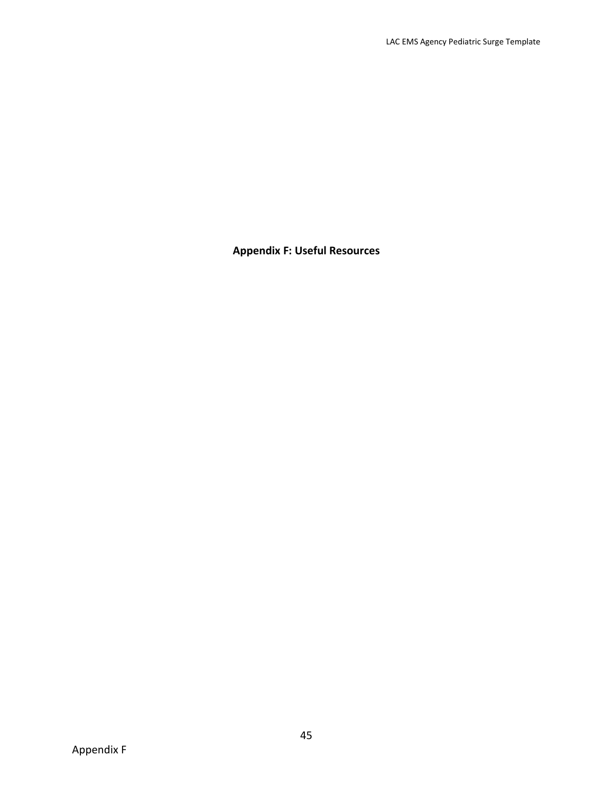<span id="page-44-0"></span>**Appendix F: Useful Resources**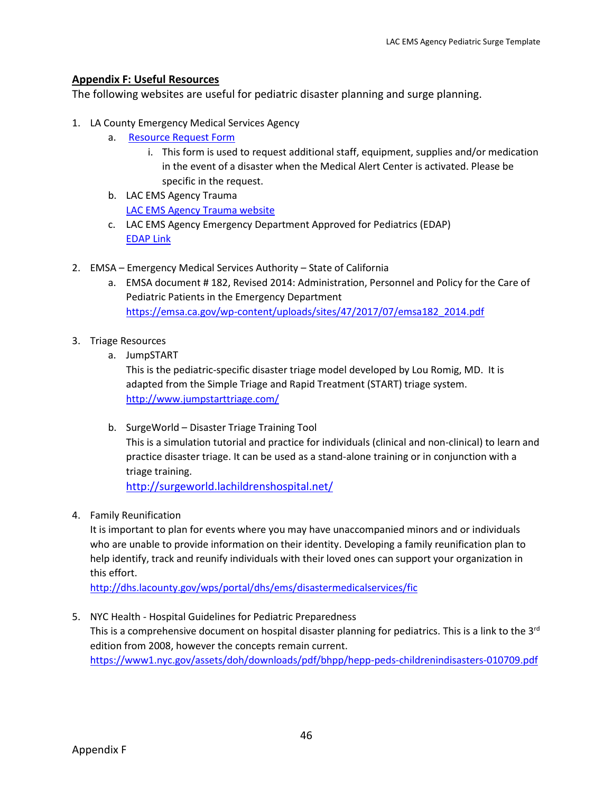#### **Appendix F: Useful Resources**

The following websites are useful for pediatric disaster planning and surge planning.

- 1. LA County Emergency Medical Services Agency
	- a. [Resource Request Form](http://dhs.lacounty.gov/wps/portal/dhs/!ut/p/b1/04_Sj9S1MDeyMDc1szDUj9CPykssy0xPLMnMz0vMAfGjzOLdDAwM3P2dgo38PYxcDBy9TQMNfA0dPTyMDPXD9aMIKcmN8nIEACVrZU4!/)
		- i. This form is used to request additional staff, equipment, supplies and/or medication in the event of a disaster when the Medical Alert Center is activated. Please be specific in the request.
	- b. LAC EMS Agency Trauma [LAC EMS Agency Trauma website](https://dhs.lacounty.gov/wps/portal/dhs/ems/hospitalprograms/trauma)
	- c. LAC EMS Agency Emergency Department Approved for Pediatrics (EDAP) [EDAP Link](https://dhs.lacounty.gov/wps/portal/dhs/!ut/p/b0/04_Sj9CPykssy0xPLMnMz0vMAfGjzOLdDAwM3P2dgo38PYxcDBy9TQMNfA0dPTx8TfULsh0VATR_GS4!/)
- 2. EMSA Emergency Medical Services Authority State of California
	- a. EMSA document # 182, Revised 2014: Administration, Personnel and Policy for the Care of Pediatric Patients in the Emergency Department [https://emsa.ca.gov/wp-content/uploads/sites/47/2017/07/emsa182\\_2014.pdf](https://emsa.ca.gov/wp-content/uploads/sites/47/2017/07/emsa182_2014.pdfTriage)
- 3. Triage Resources
	- a. JumpSTART

This is the pediatric-specific disaster triage model developed by Lou Romig, MD. It is adapted from the Simple Triage and Rapid Treatment (START) triage system. <http://www.jumpstarttriage.com/>

b. SurgeWorld – Disaster Triage Training Tool This is a simulation tutorial and practice for individuals (clinical and non-clinical) to learn and practice disaster triage. It can be used as a stand-alone training or in conjunction with a triage training.

<http://surgeworld.lachildrenshospital.net/>

4. Family Reunification

It is important to plan for events where you may have unaccompanied minors and or individuals who are unable to provide information on their identity. Developing a family reunification plan to help identify, track and reunify individuals with their loved ones can support your organization in this effort.

<http://dhs.lacounty.gov/wps/portal/dhs/ems/disastermedicalservices/fic>

5. NYC Health - Hospital Guidelines for Pediatric Preparedness This is a comprehensive document on hospital disaster planning for pediatrics. This is a link to the  $3<sup>rd</sup>$ edition from 2008, however the concepts remain current. <https://www1.nyc.gov/assets/doh/downloads/pdf/bhpp/hepp-peds-childrenindisasters-010709.pdf>